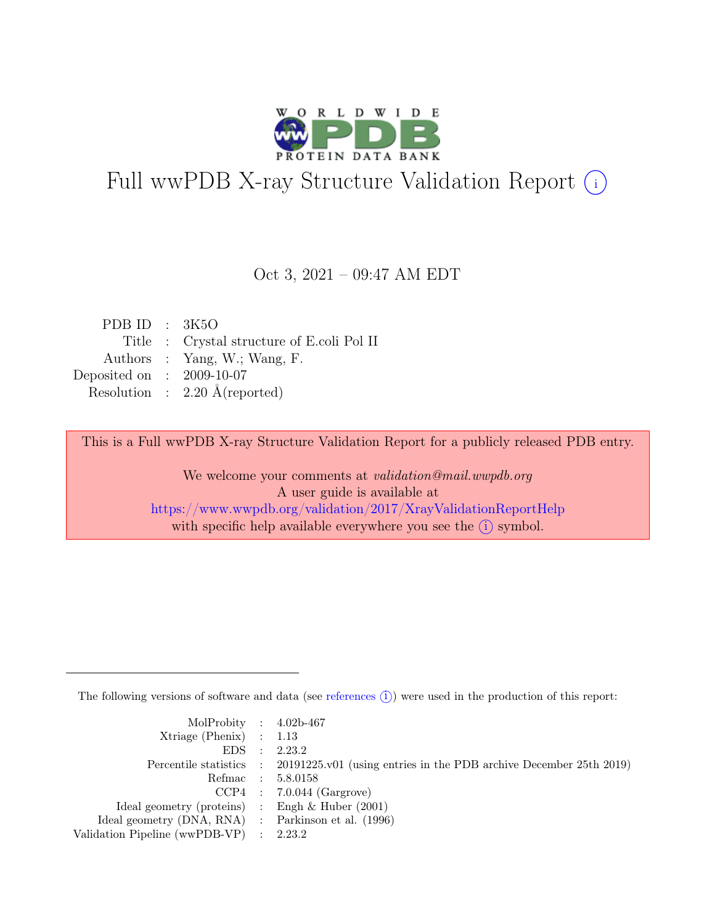

# Full wwPDB X-ray Structure Validation Report  $(i)$

#### Oct 3, 2021 – 09:47 AM EDT

| PDB ID : $3K5O$             |                                            |
|-----------------------------|--------------------------------------------|
|                             | Title : Crystal structure of E.coli Pol II |
|                             | Authors : Yang, W.; Wang, F.               |
| Deposited on : $2009-10-07$ |                                            |
|                             | Resolution : $2.20 \text{ Å}$ (reported)   |
|                             |                                            |

This is a Full wwPDB X-ray Structure Validation Report for a publicly released PDB entry.

We welcome your comments at validation@mail.wwpdb.org A user guide is available at <https://www.wwpdb.org/validation/2017/XrayValidationReportHelp> with specific help available everywhere you see the  $(i)$  symbol.

The following versions of software and data (see [references](https://www.wwpdb.org/validation/2017/XrayValidationReportHelp#references)  $(i)$ ) were used in the production of this report:

| MolProbity : $4.02b-467$                            |                                                                                            |
|-----------------------------------------------------|--------------------------------------------------------------------------------------------|
| $Xtriangle (Phenix)$ : 1.13                         |                                                                                            |
|                                                     | EDS : 2.23.2                                                                               |
|                                                     | Percentile statistics : 20191225.v01 (using entries in the PDB archive December 25th 2019) |
|                                                     | Refmac : 5.8.0158                                                                          |
|                                                     | $CCP4$ : 7.0.044 (Gargrove)                                                                |
| Ideal geometry (proteins) : Engh $\&$ Huber (2001)  |                                                                                            |
| Ideal geometry (DNA, RNA) : Parkinson et al. (1996) |                                                                                            |
| Validation Pipeline (wwPDB-VP) : 2.23.2             |                                                                                            |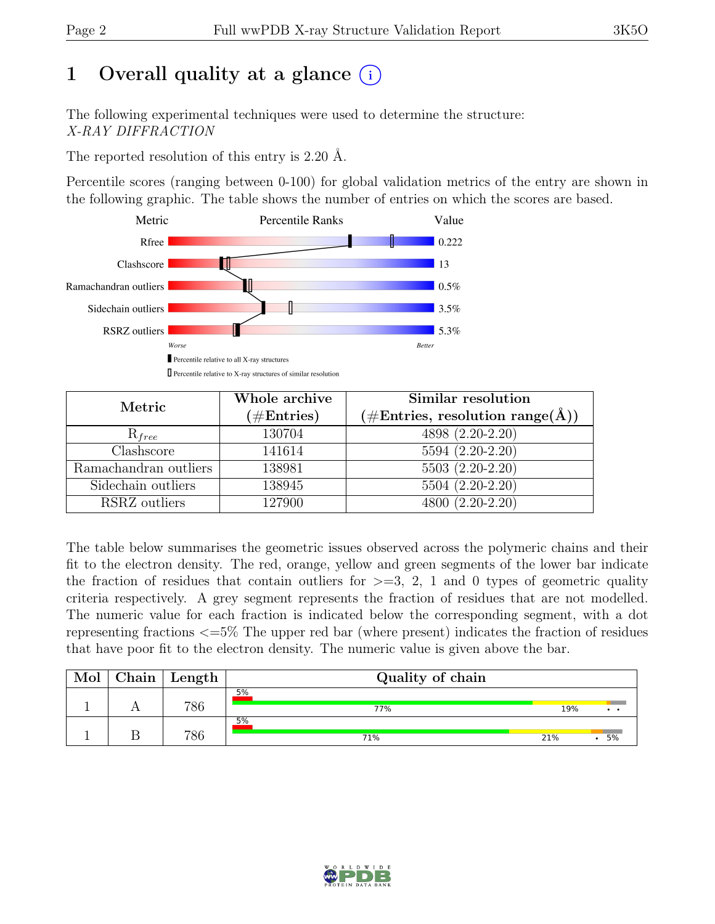# 1 Overall quality at a glance  $(i)$

The following experimental techniques were used to determine the structure: X-RAY DIFFRACTION

The reported resolution of this entry is 2.20 Å.

Percentile scores (ranging between 0-100) for global validation metrics of the entry are shown in the following graphic. The table shows the number of entries on which the scores are based.



| Metric                | Whole archive<br>$(\#\text{Entries})$ | Similar resolution<br>$(\# \text{Entries}, \text{ resolution } \text{range}(\AA))$ |  |  |
|-----------------------|---------------------------------------|------------------------------------------------------------------------------------|--|--|
| $R_{free}$            | 130704                                | 4898 (2.20-2.20)                                                                   |  |  |
| Clashscore            | 141614                                | 5594 (2.20-2.20)                                                                   |  |  |
| Ramachandran outliers | 138981                                | $5503(2.20-2.20)$                                                                  |  |  |
| Sidechain outliers    | 138945                                | 5504 (2.20-2.20)                                                                   |  |  |
| RSRZ outliers         | 127900                                | 4800 (2.20-2.20)                                                                   |  |  |

The table below summarises the geometric issues observed across the polymeric chains and their fit to the electron density. The red, orange, yellow and green segments of the lower bar indicate the fraction of residues that contain outliers for  $\geq$ =3, 2, 1 and 0 types of geometric quality criteria respectively. A grey segment represents the fraction of residues that are not modelled. The numeric value for each fraction is indicated below the corresponding segment, with a dot representing fractions <=5% The upper red bar (where present) indicates the fraction of residues that have poor fit to the electron density. The numeric value is given above the bar.

| Mol | ${\rm Chain}$ | $\mathop{\mathsf{Length}}$ | Quality of chain |     |    |
|-----|---------------|----------------------------|------------------|-----|----|
|     |               | 786                        | 5%<br>77%        | 19% |    |
|     |               | 786                        | 5%<br>71%        | 21% | 5% |

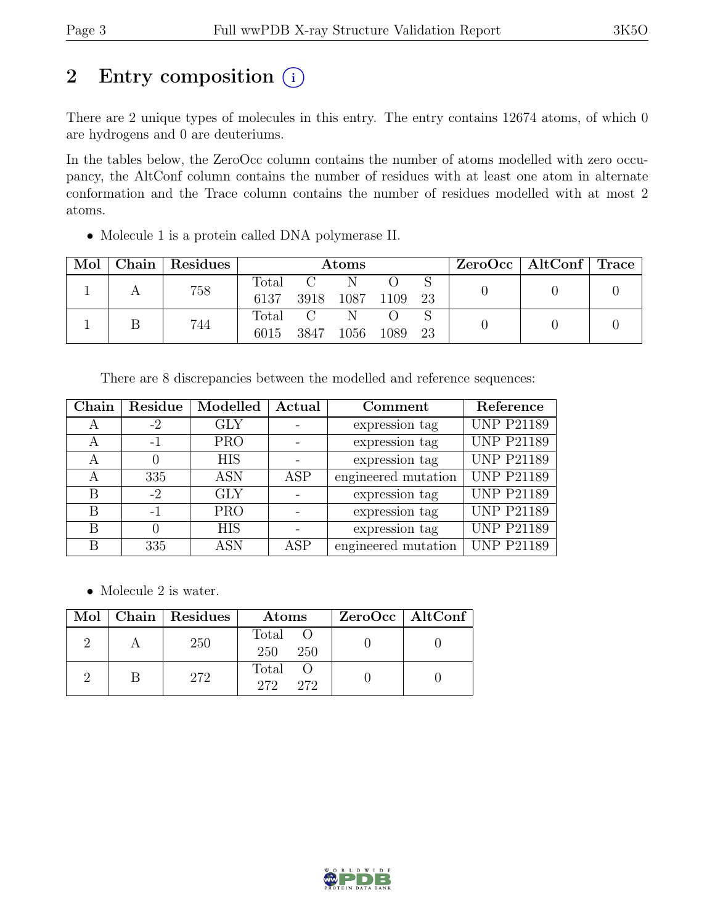# 2 Entry composition  $(i)$

There are 2 unique types of molecules in this entry. The entry contains 12674 atoms, of which 0 are hydrogens and 0 are deuteriums.

In the tables below, the ZeroOcc column contains the number of atoms modelled with zero occupancy, the AltConf column contains the number of residues with at least one atom in alternate conformation and the Trace column contains the number of residues modelled with at most 2 atoms.

• Molecule 1 is a protein called DNA polymerase II.

| Mol | ${\rm Chain \mid}$ | Residues | <b>Atoms</b>    |      |                |      | $ZeroOcc \   \$ AltConf $\  $ Trace |  |  |
|-----|--------------------|----------|-----------------|------|----------------|------|-------------------------------------|--|--|
|     |                    | 758      | Total<br>6137   |      | 3918 1087 1109 |      | -23                                 |  |  |
|     |                    | 744      | Total C<br>6015 | 3847 | 1056           | 1089 | 23                                  |  |  |

There are 8 discrepancies between the modelled and reference sequences:

| Chain | Residue | Modelled   | Actual | Comment             | Reference         |
|-------|---------|------------|--------|---------------------|-------------------|
| A     | $-2$    | <b>GLY</b> |        | expression tag      | <b>UNP P21189</b> |
| А     |         | <b>PRO</b> |        | expression tag      | <b>UNP P21189</b> |
|       |         | <b>HIS</b> |        | expression tag      | <b>UNP P21189</b> |
| А     | 335     | <b>ASN</b> | ASP    | engineered mutation | <b>UNP P21189</b> |
| В     | $-2$    | <b>GLY</b> |        | expression tag      | <b>UNP P21189</b> |
| В     | $-1$    | <b>PRO</b> |        | expression tag      | <b>UNP P21189</b> |
| B     |         | <b>HIS</b> |        | expression tag      | <b>UNP P21189</b> |
| B     | 335     | <b>ASN</b> | ASP    | engineered mutation | <b>UNP P21189</b> |

• Molecule 2 is water.

|  | Mol   Chain   Residues | Atoms                  | $ZeroOcc$   AltConf |
|--|------------------------|------------------------|---------------------|
|  | 250                    | Total O<br>250<br>-250 |                     |
|  | 272                    | Total<br>272 272       |                     |

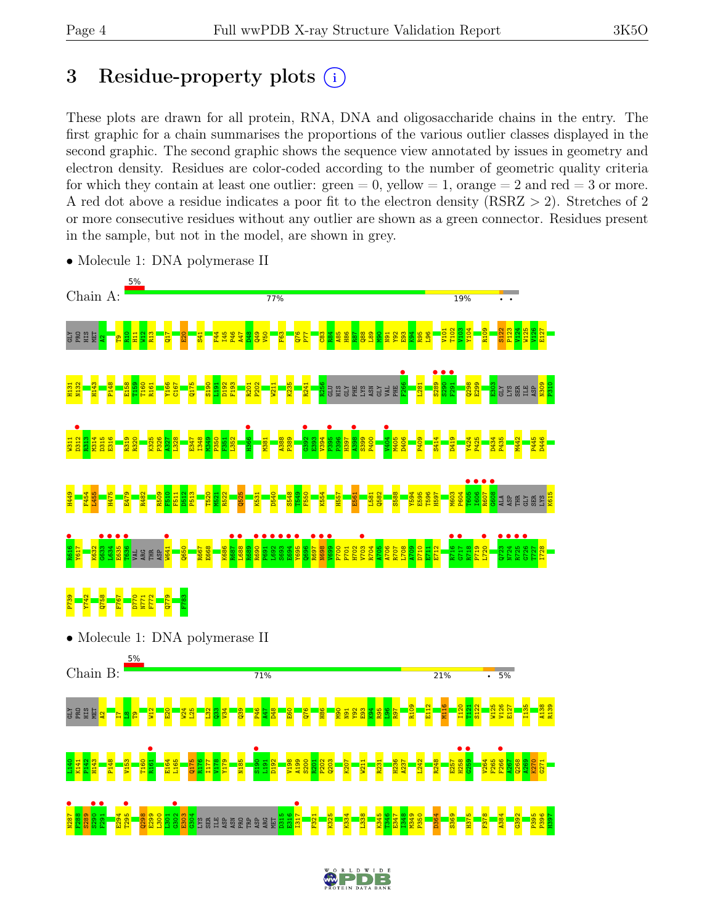# 3 Residue-property plots  $(i)$

These plots are drawn for all protein, RNA, DNA and oligosaccharide chains in the entry. The first graphic for a chain summarises the proportions of the various outlier classes displayed in the second graphic. The second graphic shows the sequence view annotated by issues in geometry and electron density. Residues are color-coded according to the number of geometric quality criteria for which they contain at least one outlier:  $green = 0$ , yellow  $= 1$ , orange  $= 2$  and red  $= 3$  or more. A red dot above a residue indicates a poor fit to the electron density (RSRZ > 2). Stretches of 2 or more consecutive residues without any outlier are shown as a green connector. Residues present in the sample, but not in the model, are shown in grey.



• Molecule 1: DNA polymerase II

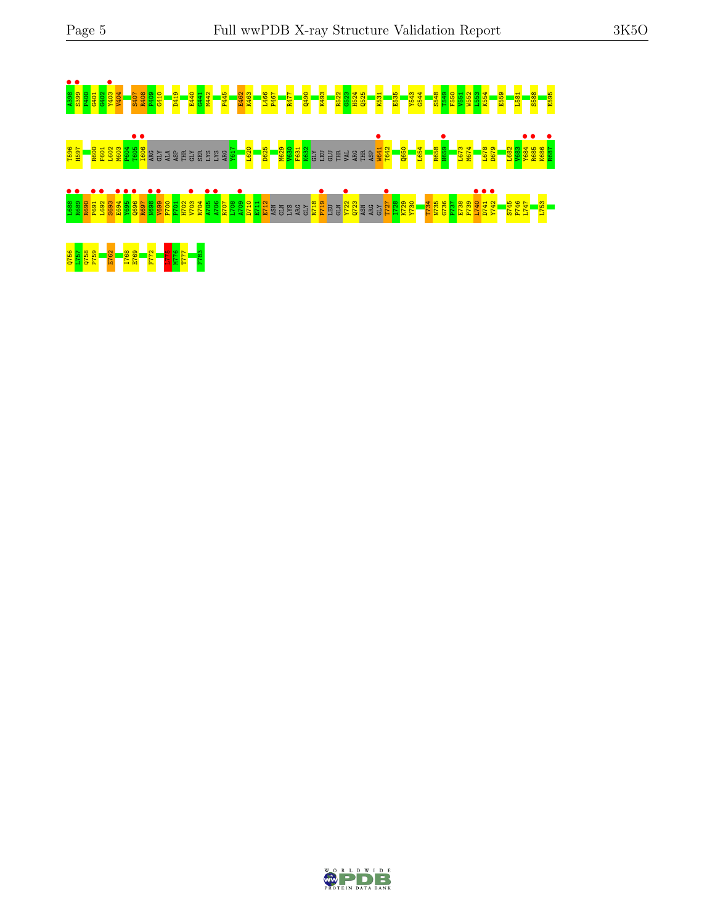# A398 • S399 • P400 G401 G402 Y403 • V404 S407 R408 P409 G410 D419 E440 G441 M442 P445 E462 K463 L466 P467 R477 Q490 K493 R522 G523 H524 Q525 K531 E535 Y543 G544 S548 T549 F550 V551 W552 L553 K554 E559 L581 S588 E595 <mark>ងឌូ និនី ខិនី ខិនី ខិនី</mark> ទី ទី ១ មិនី មិនី មិនី ខិនី ខិនី <mark>ខិនី ខ្លួន ខ្លួន ខ្លួន</mark> ខ្ញុំ មិនី មិនី មិនី ខ្ញុំ ទី<br><mark>ខិន្តី មិនី ខ្ញុំ ខ្ញុំ ខ្ញុំ ខ្ញុំ ខ្ញុំ</mark> ទី ទី មិនី មិនី ខ្ញុំ ខ្ញុំ ខ<mark>្ញុំ ខ្ញុំ ខ្ញុំ ខ្ញុំ ខ្ញុំ ខ្ញុំ</mark> L688 • R689 • R690 P691 • L692 • S693 E694 • Y695 • Q696 • R697 N698 • V699 • P700 P701 H702 V703 • R704 A705 • A706 • R707 L708 A709 • D710 E711 E712 ASN GLN LYS ARG GLY R718 P719 • LEU GLN Y722 • Q723 ASN ARG GLY T727 • I728 K729 Y730 T734 N735 G736 P737 E738 P739 L740 • D741 • Y742 • S745 P746 L747 L753 Q756 L757 Q758 P759 E762 I768 E769 F772 L775 M776 T777 F783

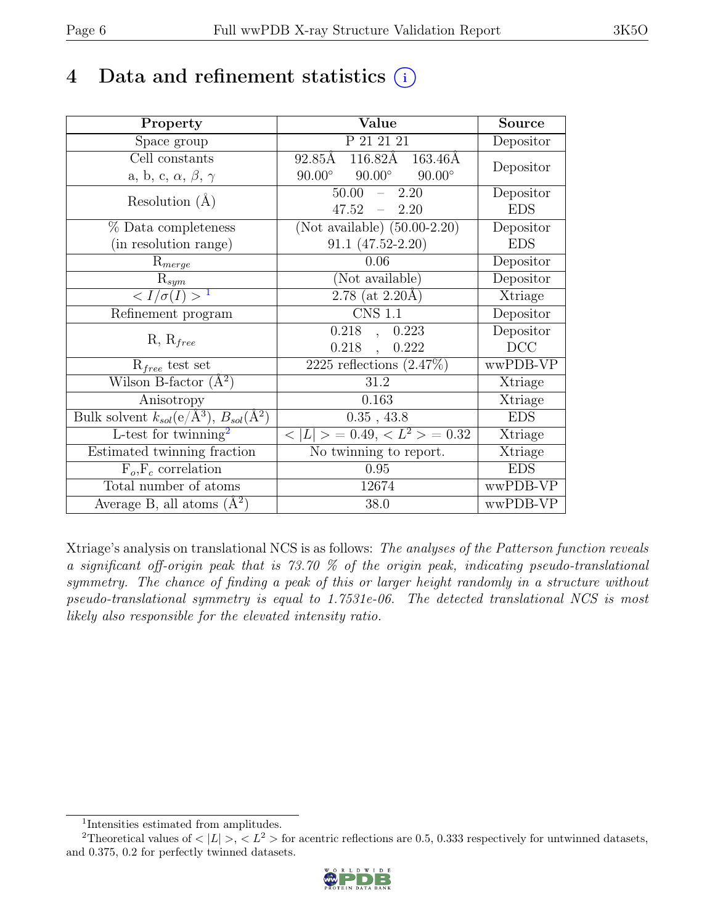# 4 Data and refinement statistics  $(i)$

| Property                                                             | Value                                              | <b>Source</b> |
|----------------------------------------------------------------------|----------------------------------------------------|---------------|
| Space group                                                          | P 21 21 21                                         | Depositor     |
| Cell constants                                                       | $116.82\text{\AA}$<br>92.85Å<br>$163.46\text{\AA}$ | Depositor     |
| a, b, c, $\alpha$ , $\beta$ , $\gamma$                               | $90.00^\circ$<br>$90.00^\circ$<br>$90.00^\circ$    |               |
| Resolution $(A)$                                                     | 50.00<br>2.20<br>$\equiv$                          | Depositor     |
|                                                                      | 47.52<br>$-2.20$                                   | <b>EDS</b>    |
| % Data completeness                                                  | (Not available) $(50.00-2.20)$                     | Depositor     |
| (in resolution range)                                                | $91.1 (47.52 - 2.20)$                              | <b>EDS</b>    |
| $R_{merge}$                                                          | 0.06                                               | Depositor     |
| $\mathrm{R}_{sym}$                                                   | (Not available)                                    | Depositor     |
| $\langle I/\sigma(I) \rangle$ <sup>1</sup>                           | $2.78$ (at 2.20Å)                                  | Xtriage       |
| Refinement program                                                   | <b>CNS 1.1</b>                                     | Depositor     |
|                                                                      | 0.218<br>0.223<br>$\overline{a}$                   | Depositor     |
| $R, R_{free}$                                                        | $0.218$ ,<br>0.222                                 | DCC           |
| $R_{free}$ test set                                                  | 2225 reflections $(2.47\%)$                        | wwPDB-VP      |
| Wilson B-factor $(A^2)$                                              | 31.2                                               | Xtriage       |
| Anisotropy                                                           | 0.163                                              | Xtriage       |
| Bulk solvent $k_{sol}(e/\mathring{A}^3)$ , $B_{sol}(\mathring{A}^2)$ | $0.35$ , 43.8                                      | <b>EDS</b>    |
| L-test for twinning <sup>2</sup>                                     | $< L >$ = 0.49, $< L^2 >$ = 0.32                   | Xtriage       |
| Estimated twinning fraction                                          | No twinning to report.                             | Xtriage       |
| $F_o, F_c$ correlation                                               | 0.95                                               | <b>EDS</b>    |
| Total number of atoms                                                | 12674                                              | wwPDB-VP      |
| Average B, all atoms $(A^2)$                                         | 38.0                                               | wwPDB-VP      |

Xtriage's analysis on translational NCS is as follows: The analyses of the Patterson function reveals a significant off-origin peak that is 73.70 % of the origin peak, indicating pseudo-translational symmetry. The chance of finding a peak of this or larger height randomly in a structure without pseudo-translational symmetry is equal to 1.7531e-06. The detected translational NCS is most likely also responsible for the elevated intensity ratio.

<sup>&</sup>lt;sup>2</sup>Theoretical values of  $\langle |L| \rangle$ ,  $\langle L^2 \rangle$  for acentric reflections are 0.5, 0.333 respectively for untwinned datasets, and 0.375, 0.2 for perfectly twinned datasets.



<span id="page-5-1"></span><span id="page-5-0"></span><sup>1</sup> Intensities estimated from amplitudes.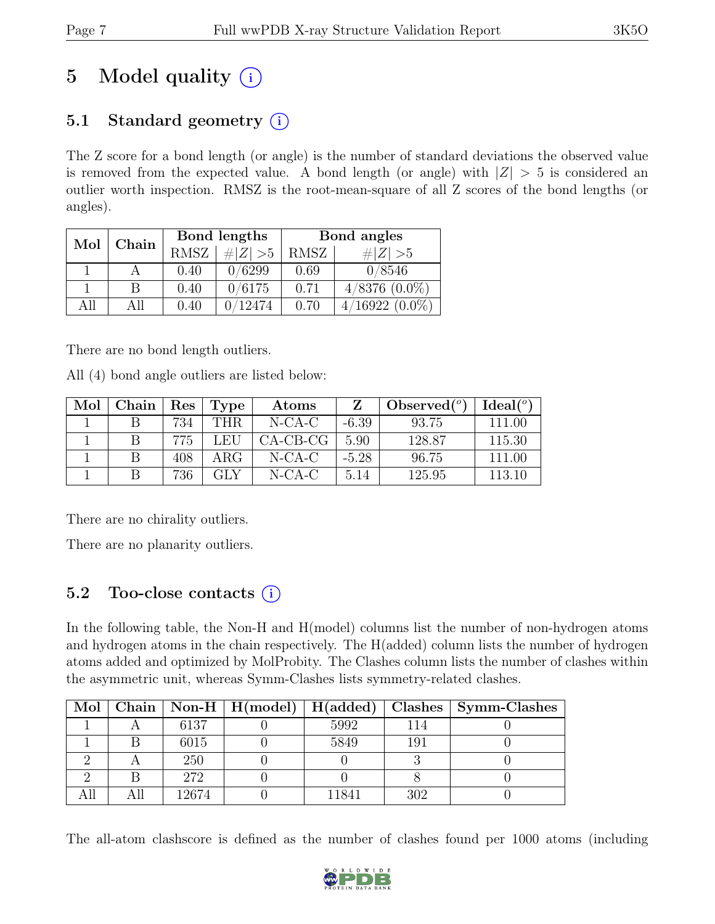# 5 Model quality  $(i)$

## 5.1 Standard geometry  $(i)$

The Z score for a bond length (or angle) is the number of standard deviations the observed value is removed from the expected value. A bond length (or angle) with  $|Z| > 5$  is considered an outlier worth inspection. RMSZ is the root-mean-square of all Z scores of the bond lengths (or angles).

| Mol  | Chain |             | Bond lengths | Bond angles |                              |  |
|------|-------|-------------|--------------|-------------|------------------------------|--|
|      |       | <b>RMSZ</b> | # $ Z  > 5$  | RMSZ        | $\# Z  > 5$                  |  |
|      |       | 0.40        | 0/6299       | 0.69        | 0/8546                       |  |
|      | В     | 0.40        | 0/6175       | 0.71        | $4/8376$ $(0.0\%)$           |  |
| A 11 | All   | 0.40        | 12474        | 0.70        | $4/16922~(0.\overline{0\%})$ |  |

There are no bond length outliers.

All (4) bond angle outliers are listed below:

| Mol | ${\rm Chain}$ | Res | <b>Type</b> | Atoms      | Z       | Observed $(°)$ | Ideal <sup>(o)</sup> |
|-----|---------------|-----|-------------|------------|---------|----------------|----------------------|
|     |               | 734 | THR.        | $N-CA-C$   | $-6.39$ | 93.75          | 111.00               |
|     |               | 775 | LEU         | $CA-CB-CG$ | 5.90    | 128.87         | 115.30               |
|     |               | 408 | ARG         | $N-CA-C$   | $-5.28$ | 96.75          | 111.00               |
|     |               | 736 | <b>GLY</b>  | $N$ -CA-C  | 5.14    | 125.95         | 113.10               |

There are no chirality outliers.

There are no planarity outliers.

### 5.2 Too-close contacts  $(i)$

In the following table, the Non-H and H(model) columns list the number of non-hydrogen atoms and hydrogen atoms in the chain respectively. The H(added) column lists the number of hydrogen atoms added and optimized by MolProbity. The Clashes column lists the number of clashes within the asymmetric unit, whereas Symm-Clashes lists symmetry-related clashes.

|  |       |      |     | Mol   Chain   Non-H   H(model)   H(added)   Clashes   Symm-Clashes |
|--|-------|------|-----|--------------------------------------------------------------------|
|  | 6137  | 5992 |     |                                                                    |
|  | 6015  | 5849 | 191 |                                                                    |
|  | 250   |      |     |                                                                    |
|  | 272   |      |     |                                                                    |
|  | 12674 | 1841 | 302 |                                                                    |

The all-atom clashscore is defined as the number of clashes found per 1000 atoms (including

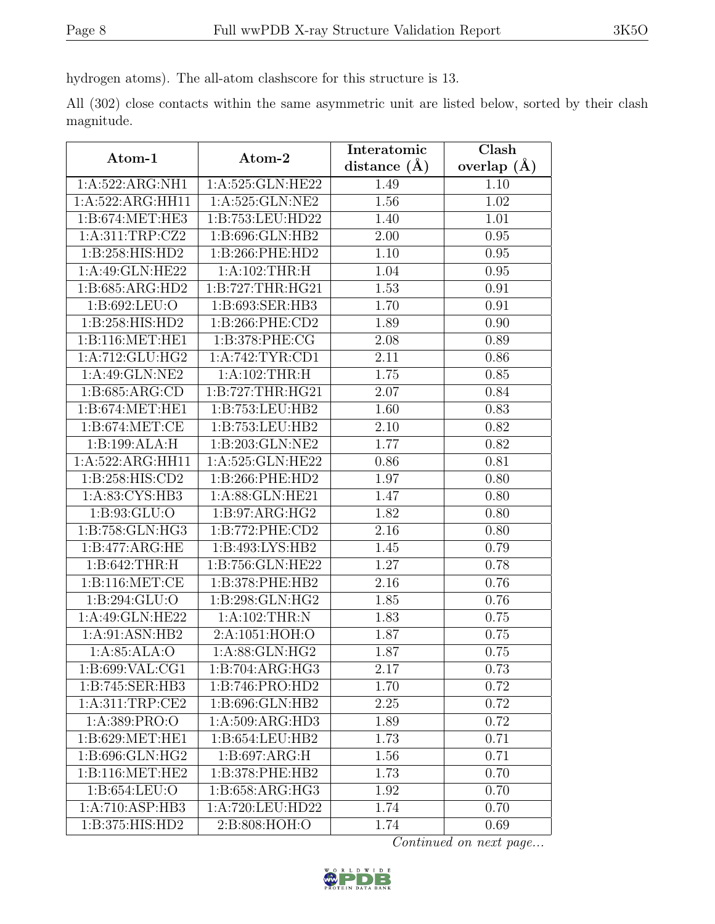hydrogen atoms). The all-atom clashscore for this structure is 13.

All (302) close contacts within the same asymmetric unit are listed below, sorted by their clash magnitude.

| Atom-1              | Atom-2              | Interatomic      | Clash         |
|---------------------|---------------------|------------------|---------------|
|                     |                     | distance $(\AA)$ | overlap $(A)$ |
| 1:A:522:ARG:NH1     | 1:A:525:GLN:HE22    | 1.49             | 1.10          |
| 1:A:522:ARG:HH11    | 1:A:525:GLN:NE2     | 1.56             | 1.02          |
| 1:B:674:MET:HE3     | 1:B:753:LEU:HD22    | 1.40             | 1.01          |
| 1:A:311:TRP:CZ2     | 1:B:696:GLN:HB2     | 2.00             | 0.95          |
| 1: B: 258: HIS: HD2 | 1:B:266:PHE:HD2     | 1.10             | 0.95          |
| 1:A:49:GLN:HE22     | 1:A:102:THR:H       | 1.04             | 0.95          |
| 1:B:685:ARG:HD2     | 1:B:727:THR:HG21    | 1.53             | 0.91          |
| 1:B:692:LEU:O       | 1:B:693:SER:HB3     | 1.70             | 0.91          |
| 1:B:258:HIS:HD2     | 1:B:266:PHE:CD2     | 1.89             | 0.90          |
| 1: B:116: MET:HE1   | 1:B:378:PHE:CG      | 2.08             | 0.89          |
| 1:A:712:GLU:HG2     | 1:A:742:TYR:CD1     | 2.11             | 0.86          |
| 1:A:49:GLN:NE2      | 1:A:102:THR:H       | 1.75             | 0.85          |
| 1: B:685: ARG:CD    | 1:B:727:THR:HG21    | 2.07             | 0.84          |
| 1: B:674:MET:HE1    | 1:B:753:LEU:HB2     | 1.60             | 0.83          |
| 1: B:674:MET:CE     | 1:B:753:LEU:HB2     | 2.10             | 0.82          |
| 1:B:199:ALA:H       | 1:B:203:GLN:NE2     | 1.77             | 0.82          |
| 1:A:522:ARG:HH11    | 1:A:525:GLN:HE22    | 0.86             | 0.81          |
| 1:B:258:HIS:CD2     | 1:B:266:PHE:HD2     | 1.97             | 0.80          |
| 1:A:83:CYS:HB3      | 1:A:88:GLN:HE21     | 1.47             | 0.80          |
| 1: B: 93: GLU:O     | 1: B:97: ARG: HG2   | 1.82             | 0.80          |
| 1:B:758:GLN:HG3     | 1:B:772:PHE:CD2     | 2.16             | 0.80          |
| 1:B:477:ARG:HE      | 1:B:493:LYS:HB2     | 1.45             | 0.79          |
| 1: B:642:THR:H      | 1:B:756:GLN:HE22    | 1.27             | 0.78          |
| 1:B:116:MET:CE      | 1:B:378:PHE:HB2     | 2.16             | 0.76          |
| 1:B:294:GLU:O       | 1:B:298:GLN:HG2     | 1.85             | 0.76          |
| 1:A:49:GLN:HE22     | 1:A:102:THR:N       | 1.83             | 0.75          |
| 1: A:91: ASN:HB2    | 2:A:1051:HOH:O      | 1.87             | 0.75          |
| 1: A:85: ALA:O      | 1:A:88:GLN:HG2      | 1.87             | 0.75          |
| 1:B:699:VAL:CG1     | 1:B:704:ARG:HG3     | 2.17             | 0.73          |
| 1:B:745:SER:HB3     | 1:B:746:PRO:HD2     | 1.70             | 0.72          |
| 1: A:311:TRP:CE2    | 1:B:696:GLN:HB2     | 2.25             | 0.72          |
| 1:A:389:PRO:O       | 1: A:509: ARG:HD3   | 1.89             | 0.72          |
| 1: B:629: MET:HE1   | 1:B:654:LEU:HB2     | 1.73             | 0.71          |
| 1:B:696:GLN:HG2     | 1: B:697: ARG:H     | 1.56             | 0.71          |
| 1: B:116: MET:HE2   | 1:B:378:PHE:HB2     | 1.73             | 0.70          |
| 1:B:654:LEU:O       | 1: B: 658: ARG: HG3 | 1.92             | 0.70          |
| 1:A:710:ASP:HB3     | 1:A:720:LEU:HD22    | 1.74             | 0.70          |
| 1:B:375:HIS:HD2     | 2:B:808:HOH:O       | 1.74             | 0.69          |

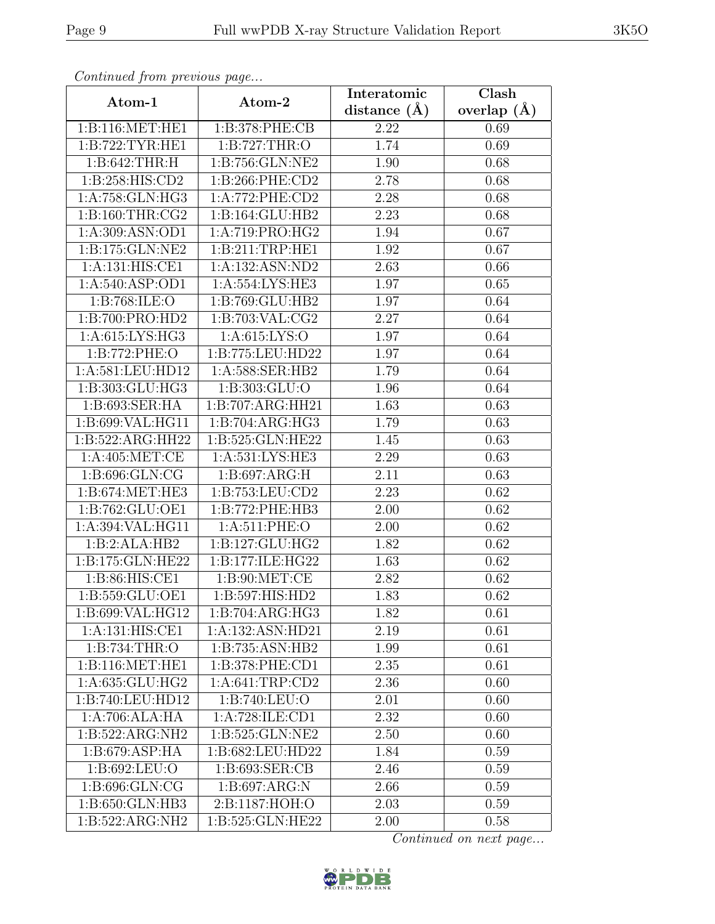| Continuea from previous page             |                              | Interatomic       | Clash             |
|------------------------------------------|------------------------------|-------------------|-------------------|
| Atom-1                                   | Atom-2                       | distance $(A)$    | overlap $(\AA)$   |
| 1: B:116: MET:HE1                        | 1:B:378:PHE:CB               | 2.22              | 0.69              |
| 1:B:722:TYR:HE1                          | 1: B: 727: THR:O             | 1.74              | 0.69              |
| 1: B:642:THR:H                           | 1:B:756:GLN:NE2              | 1.90              | 0.68              |
| 1:B:258:HIS:CD2                          | 1:B:266:PHE:CD2              | 2.78              | 0.68              |
| 1:A:758:GLN:HG3                          | 1:A:772:PHE:CD2              | 2.28              | 0.68              |
| 1: B:160: THR: CG2                       | 1:B:164:GLU:HB2              | 2.23              | 0.68              |
| 1:A:309:ASN:OD1                          | 1:A:719:PRO:HG2              | 1.94              | 0.67              |
| 1:B:175:GLN:NE2                          | 1:B:211:TRP:HE1              | 1.92              | $0.\overline{67}$ |
| 1:A:131:HIS:CE1                          | 1:A:132:ASN:ND2              | 2.63              | 0.66              |
| 1: A:540: ASP:OD1                        | 1: A: 554: LYS: HE3          | 1.97              | 0.65              |
| 1: B:768: ILE: O                         | $1:B:769:GLU:H\overline{B2}$ | 1.97              | 0.64              |
| 1:B:700:PRO:HD2                          | 1: B:703: VAL: CG2           | 2.27              | 0.64              |
| 1: A:615: LYS: HG3                       | 1: A: 615: LYS: O            | 1.97              | 0.64              |
| 1:B:772:PHE:O                            | 1:B:775:LEU:HD22             | 1.97              | 0.64              |
| 1:A:581:LEU:HD12                         | 1:A:588:SER:HB2              | 1.79              | 0.64              |
| 1:B:303:GLU:HG3                          | 1:B:303:GLU:O                | 1.96              | 0.64              |
| 1:B:693:SER:HA                           | 1:B:707:ARG:HH21             | 1.63              | 0.63              |
| 1:B:699:VAL:HG11                         | 1:B:704:ARG:HG3              | 1.79              | 0.63              |
| 1:B:522:ARG:HH22                         | 1:B:525:GLN:HE22             | 1.45              | 0.63              |
| 1: A:405: MET:CE                         | 1:A:531:LYS:HE3              | 2.29              | 0.63              |
| 1:B:696:GLN:CG                           | 1: B:697:ARG:H               | 2.11              | 0.63              |
| 1:B:674:MET:HE3                          | 1:B:753:LEU:CD2              | 2.23              | 0.62              |
| 1:B:762:GLU:OE1                          | 1:B:772:PHE:HB3              | 2.00              | 0.62              |
| 1:A:394:VAL:HG11                         | 1:A:511:PHE:O                | 2.00              | 0.62              |
| 1:B:2:ALA:HB2                            | 1:B:127:GLU:HG2              | 1.82              | 0.62              |
| 1:B:175:GLN:HE22                         | 1:B:177:ILE:HG22             | $\overline{1}.63$ | 0.62              |
| 1:B:86:HIS:CE1                           | 1: B:90:MET:CE               | 2.82              | 0.62              |
| 1:B:559:GLU:OE1                          | 1:B:597:HIS:HD2              | 1.83              | 0.62              |
| $1: B:699: V\overline{\mathrm{AL}:HGI2}$ | $1:B:704:A\overline{RG:HG3}$ | 1.82              | 0.61              |
| 1:A:131:HIS:CE1                          | 1:A:132:ASN:HD21             | 2.19              | 0.61              |
| 1:B:734:THR:O                            | 1:B:735:ASN:HB2              | 1.99              | 0.61              |
| 1:B:116:MET:HE1                          | 1:B:378:PHE:CD1              | 2.35              | 0.61              |
| 1: A:635: GLU: HG2                       | 1:A:641:TRP:CD2              | 2.36              | 0.60              |
| 1:B:740:LEU:HD12                         | 1:B:740:LEU:O                | 2.01              | 0.60              |
| 1:A:706:ALA:HA                           | 1:A:728:ILE:CD1              | 2.32              | 0.60              |
| 1:B:522:ARG:NH2                          | 1:B:525:GLN:NE2              | 2.50              | 0.60              |
| 1: B:679: ASP: HA                        | 1:B:682:LEU:HD22             | 1.84              | 0.59              |
| 1:B:692:LEU:O                            | 1:B:693:SER:CB               | 2.46              | 0.59              |
| 1: B:696: GLN:CG                         | 1: B:697: ARG: N             | 2.66              | 0.59              |
| 1:B:650:GLN:HB3                          | 2:B:1187:HOH:O               | 2.03              | 0.59              |
| 1:B:522:ARG:NH2                          | 1:B:525:GLN:HE22             | 2.00              | 0.58              |

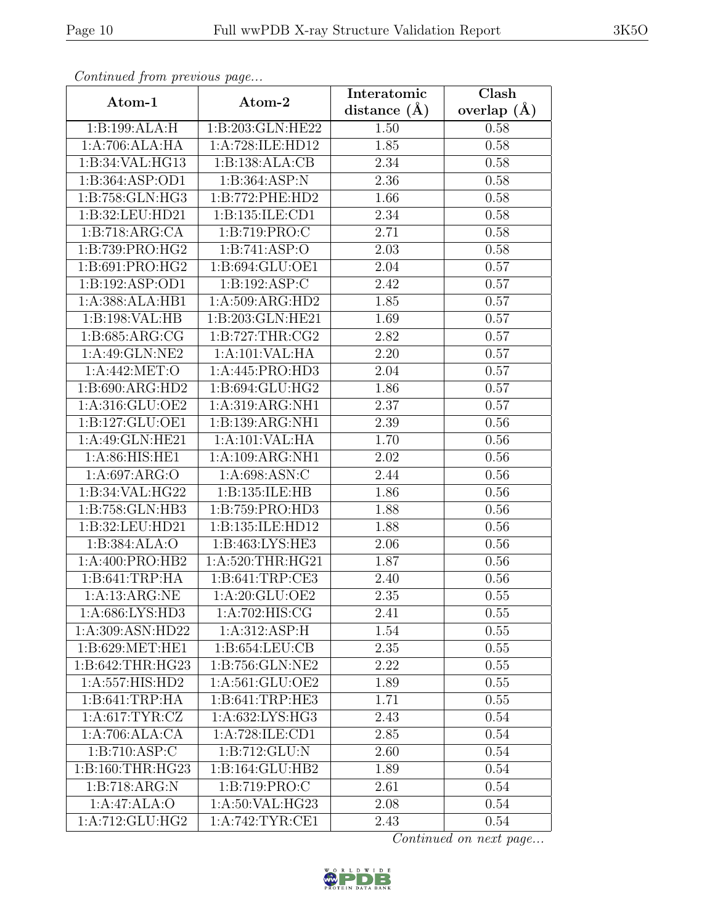| Continued from previous page                 |                    | Interatomic    | Clash         |
|----------------------------------------------|--------------------|----------------|---------------|
| Atom-1                                       | Atom-2             | distance $(A)$ | overlap $(A)$ |
| 1:B:199:ALA:H                                | 1:B:203:GLN:HE22   | 1.50           | 0.58          |
| 1:A:706:ALA:HA                               | 1:A:728:ILE:HD12   | 1.85           | 0.58          |
| 1:B:34:VAL:HG13                              | 1:B:138:ALA:CB     | 2.34           | 0.58          |
| 1:B:364:ASP:OD1                              | 1: B:364: ASP:N    | 2.36           | 0.58          |
| 1:B:758:GLN:HG3                              | 1:B:772:PHE:HD2    | 1.66           | 0.58          |
| 1:B:32:LEU:HD21                              | 1:B:135:ILE:CD1    | 2.34           | 0.58          |
| 1:B:718:ARG:CA                               | 1: B: 719: PRO: C  | 2.71           | 0.58          |
| 1:B:739:PRO:HG2                              | 1:B:741:ASP:O      | 2.03           | 0.58          |
| 1:B:691:PRO:HG2                              | 1:B:694:GLU:OE1    | 2.04           | 0.57          |
| 1:B:192:ASP:OD1                              | 1:B:192:ASP:C      | 2.42           | 0.57          |
| 1:A:388:ALA:HB1                              | 1:A:509:ARG:HD2    | 1.85           | 0.57          |
| 1:B:198:VAL:HB                               | 1:B:203:GLN:HE21   | 1.69           | 0.57          |
| 1:B:685:ARG:CG                               | 1: B:727:THR:CG2   | 2.82           | 0.57          |
| $1:A:49:G\overline{\text{LN}:N\text{E}2}$    | 1:A:101:VAL:HA     | 2.20           | 0.57          |
| 1:A:442:MET:O                                | 1:A:445:PRO:HD3    | 2.04           | 0.57          |
| 1:B:690:ARG:HD2                              | 1:B:694:GLU:HG2    | 1.86           | 0.57          |
| 1:A:316:GLU:OE2                              | 1:A:319:ARG:NH1    | 2.37           | 0.57          |
| 1:B:127:GLU:OE1                              | 1:B:139:ARG:NH1    | 2.39           | 0.56          |
| 1:A:49:GLN:HE21                              | 1:A:101:VAL:HA     | 1.70           | 0.56          |
| 1:A:86:HIS:HE1                               | 1:A:109:ARG:NH1    | 2.02           | 0.56          |
| 1:A:697:ARG:O                                | 1:A:698:ASN:C      | 2.44           | 0.56          |
| 1:B:34:VAL:HG22                              | 1:B:135:ILE:HB     | 1.86           | 0.56          |
| 1:B:758:GLN:HB3                              | 1:B:759:PRO:HD3    | 1.88           | 0.56          |
| 1:B:32:LEU:HD21                              | 1:B:135:ILE:HD12   | 1.88           | 0.56          |
| 1:B:384:ALA:O                                | 1:B:463:LYS:HE3    | 2.06           | 0.56          |
| 1:A:400:PRO:HB2                              | 1:A:520:THR:HG21   | 1.87           | 0.56          |
| 1:B:641:TRP:HA                               | 1:5:641:TRP:CE3    | 2.40           | 0.56          |
| 1:A:13:ARG:NE                                | 1:A:20:GLU:OE2     | 2.35           | 0.55          |
| $1: A:686: LY\overline{S:HD3}$               | 1:A:702:HIS:CG     | 2.41           | 0.55          |
| 1:A:309:ASN:HD22                             | 1:A:312:ASP:H      | 1.54           | 0.55          |
| $1: B:629: \overline{\text{MET}:\text{HE1}}$ | 1: B: 654: LEU: CB | 2.35           | 0.55          |
| 1:B:642:THR:HG23                             | 1:B:756:GLN:NE2    | 2.22           | 0.55          |
| 1:A:557:HIS:HD2                              | 1:A:561:GLU:OE2    | 1.89           | 0.55          |
| 1:B:641:TRP:HA                               | 1:B:641:TRP:HE3    | 1.71           | 0.55          |
| 1: A:617: TYR: CZ                            | 1:A:632:LYS:HG3    | 2.43           | 0.54          |
| 1:A:706:ALA:CA                               | 1:A:728:ILE:CD1    | 2.85           | 0.54          |
| 1:B:710:ASP:C                                | 1:B:712:GLU:N      | 2.60           | 0.54          |
| 1:B:160:THR:HG23                             | 1:B:164:GLU:HB2    | 1.89           | 0.54          |
| 1:B:718:ARG:N                                | 1: B: 719: PRO: C  | 2.61           | 0.54          |
| 1:A:47:ALA:O                                 | 1:A:50:VAL:HG23    | 2.08           | 0.54          |
| 1:A:712:GLU:HG2                              | 1:A:742:TYR:CE1    | 2.43           | 0.54          |

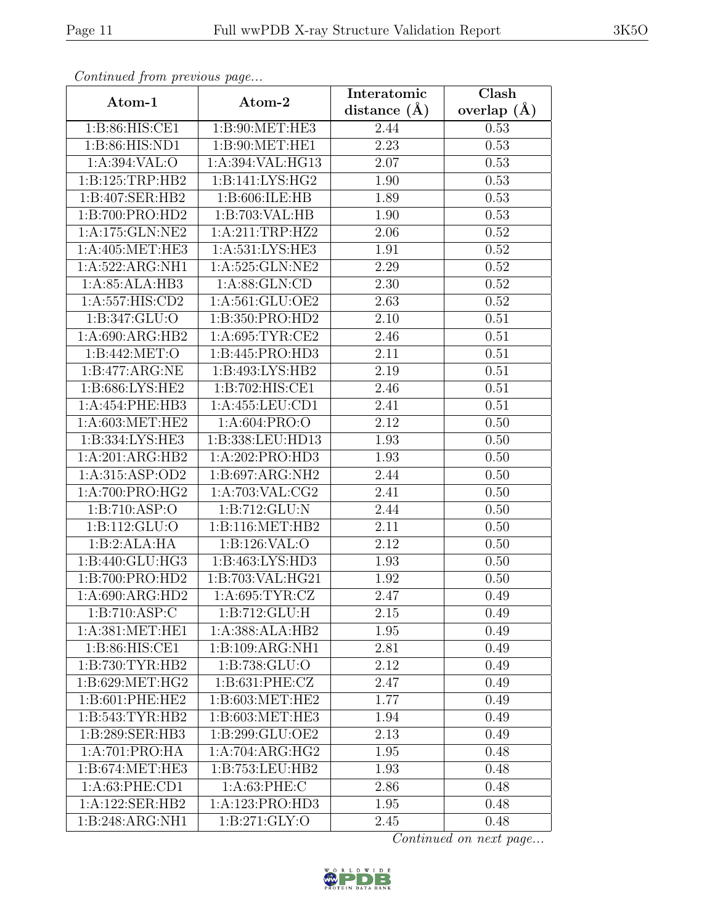| Continued from previous page    |                            | Interatomic    | $\overline{\text{Clash}}$ |
|---------------------------------|----------------------------|----------------|---------------------------|
| Atom-1                          | Atom-2                     | distance $(A)$ | overlap $(\AA)$           |
| 1:B:86:HIS:CE1                  | 1:B:90:MET:HE3             | 2.44           | 0.53                      |
| 1:B:86:HIS:ND1                  | 1:B:90:MET:HE1             | 2.23           | 0.53                      |
| 1: A:394: VAL:O                 | 1:A:394:VAL:HG13           | 2.07           | 0.53                      |
| 1:B:125:TRP:HB2                 | 1: B:141: LYS: HG2         | 1.90           | 0.53                      |
| 1:B:407:SER:HB2                 | 1:B:606:ILE:HB             | 1.89           | 0.53                      |
| 1:B:700:PRO:HD2                 | 1:B:703:VAL:HB             | 1.90           | 0.53                      |
| 1:A:175:GLN:NE2                 | 1:A:211:TRP:HZ2            | 2.06           | 0.52                      |
| 1: A:405: MET:HE3               | 1:A:531:LYS:HE3            | 1.91           | 0.52                      |
| 1:A:522:ARG:NH1                 | 1:A:525:GLN:NE2            | 2.29           | 0.52                      |
| 1:A:85:ALA:HB3                  | 1: A:88: GLN:CD            | 2.30           | 0.52                      |
| 1:A:557:HIS:CD2                 | 1:A:561:GLU:OE2            | 2.63           | 0.52                      |
| 1:B:347:GLU:O                   | 1:B:350:PRO:HD2            | 2.10           | 0.51                      |
| 1:A:690:ARG:HB2                 | 1:A:695:TYR:CE2            | 2.46           | 0.51                      |
| 1: B:442: MET:O                 | 1:B:445:PRO:HD3            | 2.11           | 0.51                      |
| 1:B:477:ARG:NE                  | 1:B:493:LYS:HB2            | 2.19           | 0.51                      |
| 1:B:686:LYS:HE2                 | 1:B:702:HIS:CE1            | 2.46           | 0.51                      |
| 1:A:454:PHE:HB3                 | 1:A:455:LEU:CD1            | 2.41           | 0.51                      |
| 1: A:603:MET:HE2                | 1:A:604:PRO:O              | 2.12           | 0.50                      |
| 1:B:334:LYS:HE3                 | 1:B:338:LEU:HD13           | 1.93           | 0.50                      |
| 1:A:201:ARG:HB2                 | 1:A:202:PRO:HD3            | 1.93           | 0.50                      |
| 1:A:315:ASP:OD2                 | 1:B:697:ARG:NH2            | 2.44           | 0.50                      |
| 1:A:700:PRO:HG2                 | 1: A:703: VAL: CG2         | 2.41           | 0.50                      |
| 1:B:710:ASP:O                   | 1:B:712:GLU:N              | 2.44           | 0.50                      |
| 1:B:112:GLU:O                   | 1: B:116: MET:HB2          | 2.11           | 0.50                      |
| 1:B:2:ALA:HA                    | 1:B:126:VAL:O              | 2.12           | 0.50                      |
| 1:B:440:GLU:HG3                 | 1:B:463:LYS:HD3            | 1.93           | 0.50                      |
| 1:B:700:PRO:HD2                 | 1:B:703:VAL:HG21           | 1.92           | 0.50                      |
| 1:A:690:ARG:HD2                 | 1: A:695: TYR: CZ          | 2.47           | 0.49                      |
| 1:B:710:ASP:C                   | $1:B:712:\overline{GLU:H}$ | 2.15           | 0.49                      |
| 1:A:381:MET:HE1                 | 1:A:388:ALA:HB2            | $1.95\,$       | 0.49                      |
| 1:B:86:HIS:CE1                  | 1:B:109:ARG:NH1            | 2.81           | 0.49                      |
| 1:B:730:TYR:HB2                 | 1: B: 738: GLU:O           | 2.12           | 0.49                      |
| $1: B:629: MET: \overline{HG2}$ | 1:B:631:PHE:CZ             | 2.47           | 0.49                      |
| 1:B:601:PHE:HE2                 | 1:B:603:MET:HE2            | 1.77           | 0.49                      |
| 1:B:543:TYR:HB2                 | 1:B:603:MET:HE3            | 1.94           | 0.49                      |
| 1:B:289:SER:HB3                 | 1:B:299:GLU:OE2            | 2.13           | 0.49                      |
| 1:A:701:PRO:HA                  | 1:A:704:ARG:HG2            | 1.95           | 0.48                      |
| 1: B:674:MET:HE3                | 1:B:753:LEU:HB2            | 1.93           | 0.48                      |
| 1: A:63: PHE:CD1                | 1: A:63:PHE: C             | 2.86           | 0.48                      |
| 1:A:122:SER:HB2                 | 1:A:123:PRO:HD3            | 1.95           | 0.48                      |
| 1:B:248:ARG:NH1                 | 1:B:271:GLY:O              | 2.45           | 0.48                      |

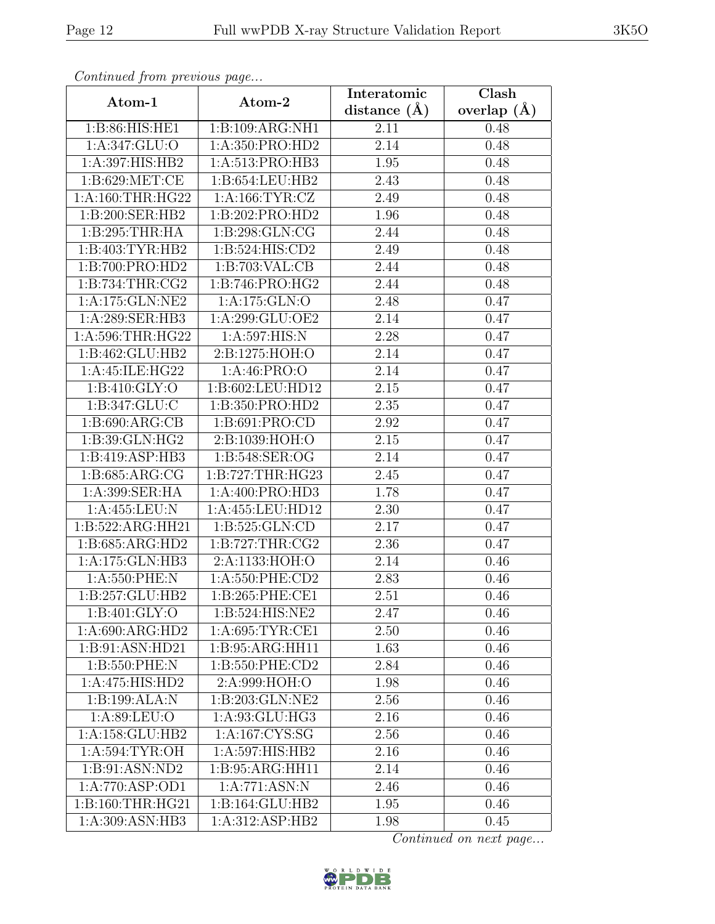| Continued from previous page |                    | Interatomic      | Clash         |
|------------------------------|--------------------|------------------|---------------|
| Atom-1                       | Atom-2             | distance $(\AA)$ | overlap $(A)$ |
| 1:B:86:HIS:HE1               | 1:B:109:ARG:NH1    | 2.11             | 0.48          |
| 1: A:347: GLU:O              | 1:A:350:PRO:HD2    | 2.14             | 0.48          |
| 1:A:397:HIS:HB2              | 1:A:513:PRO:HB3    | 1.95             | 0.48          |
| 1:B:629:MET:CE               | 1:B:654:LEU:HB2    | 2.43             | 0.48          |
| 1:A:160:THR:HG22             | 1: A: 166: TYR: CZ | 2.49             | 0.48          |
| 1:B:200:SER:HB2              | 1:B:202:PRO:HD2    | 1.96             | 0.48          |
| 1:B:295:THR:HA               | 1:B:298:GLN:CG     | 2.44             | 0.48          |
| 1:B:403:TYR:HB2              | 1:B:524:HIS:CD2    | 2.49             | 0.48          |
| 1:B:700:PRO:HD2              | 1:B:703:VAL:CB     | 2.44             | 0.48          |
| 1: B:734:THR:CG2             | 1:B:746:PRO:HG2    | 2.44             | 0.48          |
| 1:A:175:GLN:NE2              | 1:A:175:GLN:O      | 2.48             | 0.47          |
| 1:A:289:SER:HB3              | 1:A:299:GLU:OE2    | 2.14             | 0.47          |
| 1: A:596:THR:HG22            | 1:A:597:HIS:N      | 2.28             | 0.47          |
| 1:B:462:GLU:HB2              | 2:B:1275:HOH:O     | 2.14             | 0.47          |
| 1:A:45:ILE:HG22              | 1:A:46:PRO:O       | 2.14             | 0.47          |
| 1: B:410: GLY:O              | 1:B:602:LEU:HD12   | 2.15             | 0.47          |
| 1:B:347:GLU:C                | 1:B:350:PRO:HD2    | 2.35             | 0.47          |
| 1:B:690:ARG:CB               | 1:B:691:PRO:CD     | 2.92             | 0.47          |
| 1:B:39:GLN:HG2               | 2:B:1039:HOH:O     | 2.15             | 0.47          |
| 1:B:419:ASP:HB3              | 1:B:548:SER:OG     | 2.14             | 0.47          |
| 1:B:685:ARG:CG               | 1:B:727:THR:HG23   | 2.45             | 0.47          |
| 1:A:399:SER:HA               | 1:A:400:PRO:HD3    | 1.78             | 0.47          |
| 1:A:455:LEU:N                | 1:A:455:LEU:HD12   | 2.30             | 0.47          |
| 1:B:522:ARG:HH21             | 1:B:525:GLN:CD     | 2.17             | 0.47          |
| 1:B:685:ARG:HD2              | 1: B:727:THR:CG2   | 2.36             | 0.47          |
| 1:A:175:GLN:HB3              | 2:A:1133:HOH:O     | 2.14             | 0.46          |
| 1:A:550:PHE:N                | 1:A:550:PHE:CD2    | 2.83             | 0.46          |
| 1:B:257:GLU:HB2              | 1:B:265:PHE:CE1    | 2.51             | 0.46          |
| 1:B:401:GLY:O                | 1:B:524:HIS:NE2    | 2.47             | 0.46          |
| 1:A:690:ARG:HD2              | 1:A:695:TYR:CE1    | 2.50             | 0.46          |
| 1:B:91:ASN:HD21              | 1:B:95:ARG:HH11    | 1.63             | 0.46          |
| 1:B:550:PHE:N                | 1:B:550:PHE:CD2    | 2.84             | 0.46          |
| 1:A:475:HIS:HD2              | 2:A:999:HOH:O      | 1.98             | 0.46          |
| 1:B:199:ALA:N                | 1:B:203:GLN:NE2    | 2.56             | 0.46          |
| 1: A:89: LEU:O               | 1:A:93:GLU:HG3     | 2.16             | 0.46          |
| 1:A:158:GLU:HB2              | 1: A: 167: CYS: SG | 2.56             | 0.46          |
| 1: A:594:TYR:OH              | 1:A:597:HIS:HB2    | 2.16             | 0.46          |
| 1:B:91:ASN:ND2               | 1:B:95:ARG:HH11    | 2.14             | 0.46          |
| 1:A:770:ASP:OD1              | 1:A:771:ASN:N      | 2.46             | 0.46          |
| 1:B:160:THR:HG21             | 1:B:164:GLU:HB2    | 1.95             | 0.46          |
| 1:A:309:ASN:HB3              | 1:A:312:ASP:HB2    | 1.98             | 0.45          |

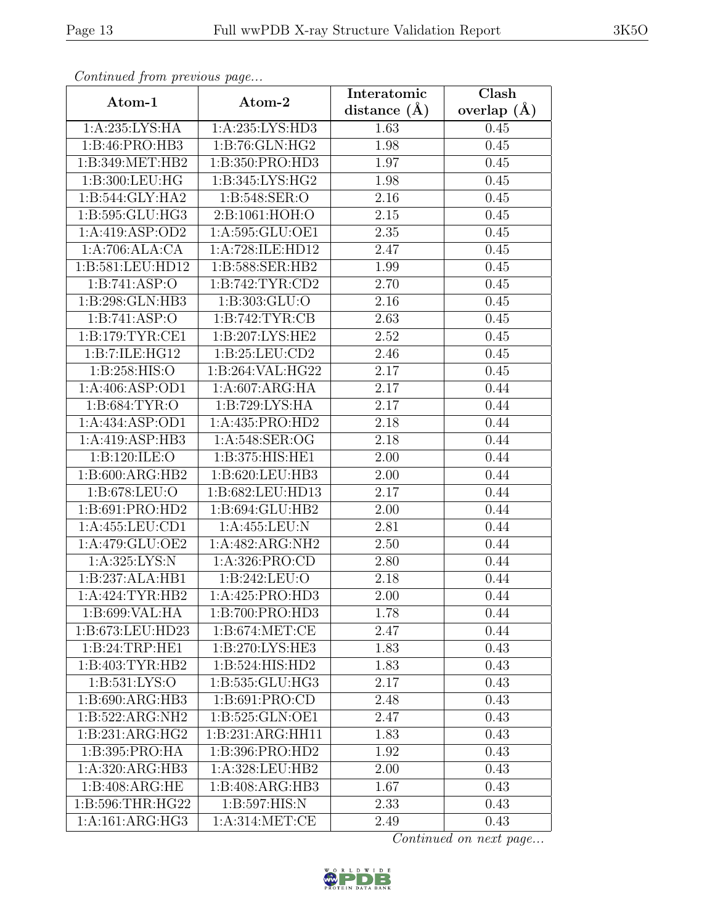| Continuea from previous page           |                             | Interatomic      | Clash         |  |
|----------------------------------------|-----------------------------|------------------|---------------|--|
| Atom-1                                 | Atom-2                      | distance $(\AA)$ | overlap $(A)$ |  |
| 1: A:235: LYS: HA                      | 1:A:235:LYS:HD3             | 1.63             | 0.45          |  |
| 1:B:46:PRO:HB3                         | 1: B:76: GLN: HG2           | 1.98             | 0.45          |  |
| 1:B:349:MET:HB2                        | 1:B:350:PRO:HD3             | 1.97             | 0.45          |  |
| 1:B:300:LEU:HG                         | 1:B:345:LYS:HG2             | 1.98             | 0.45          |  |
| 1:B:544:GLY:HA2                        | 1:B:548:SER:O               | 2.16             | 0.45          |  |
| 1:B:595:GLU:HG3                        | 2:B:1061:HOH:O              | 2.15             | 0.45          |  |
| $1:A:419:AS\overline{P:OD2}$           | 1:A:595:GLU:OE1             | 2.35             | 0.45          |  |
| 1:A:706:ALA:CA                         | 1:A:728:ILE:HD12            | 2.47             | 0.45          |  |
| 1:B:581:LEU:HD12                       | 1:B:588:SER:HB2             | 1.99             | 0.45          |  |
| 1:B:741:ASP:O                          | 1: B:742: TYR: CD2          | 2.70             | 0.45          |  |
| 1:B:298:GLN:HB3                        | 1: B: 303: GLU:O            | 2.16             | 0.45          |  |
| 1: B:741: ASP:O                        | 1:B:742:TYR:CB              | 2.63             | 0.45          |  |
| 1: B:179: TYR: CE1                     | 1: B:207: LYS: HE2          | 2.52             | 0.45          |  |
| 1:B:7:ILE:HG12                         | 1:B:25:LEU:CD2              | 2.46             | 0.45          |  |
| 1: B:258: HIS:O                        | 1:B:264:VAL:HG22            | 2.17             | 0.45          |  |
| 1:A:406:ASP:OD1                        | 1:A:607:ARG:HA              | 2.17             | 0.44          |  |
| 1: B: 684: TYR: O                      | 1:B:729:LYS:HA              | 2.17             | 0.44          |  |
| 1: A: 434: ASP: OD1                    | 1:A:435:PRO:HD2             | 2.18             | 0.44          |  |
| 1:A:419:ASP:HB3                        | 1:A:548:SER:OG              | 2.18             | 0.44          |  |
| 1:B:120:ILE:O                          | 1:B:375:HIS:HE1             | 2.00             | 0.44          |  |
| 1:B:600:ARG:HB2                        | 1:B:620:LEU:HB3             | 2.00             | 0.44          |  |
| 1:B:678:LEU:O                          | 1:B:682:LEU:HD13            | 2.17             | 0.44          |  |
| 1:B:691:PRO:HD2                        | 1:B:694:GLU:HB2             | 2.00             | 0.44          |  |
| 1:A:455:LEU:CD1                        | 1:A:455:LEU:N               | 2.81             | 0.44          |  |
| 1:A:479:GLU:OE2                        | 1:A:482:ARG:NH2             | 2.50             | 0.44          |  |
| 1: A:325: LYS:N                        | 1:A:326:PRO:CD              | 2.80             | 0.44          |  |
| 1:B:237:ALA:HB1                        | 1:B:242:LEU:O               | 2.18             | 0.44          |  |
| 1:A:424:TYR:HB2                        | 1:A:425:PRO:H <sub>D3</sub> | 2.00             | 0.44          |  |
| $1:B:699:V\overline{AL:H}\overline{A}$ | 1:B:700:PRO:HD3             | 1.78             | 0.44          |  |
| 1:B:673:LEU:HD23                       | 1: B:674:MET:CE             | 2.47             | 0.44          |  |
| 1: B:24:TRP:HE1                        | 1: B:270: LYS: HE3          | 1.83             | 0.43          |  |
| 1:B:403:TYR:HB2                        | 1:B:524:HIS:HD2             | 1.83             | 0.43          |  |
| 1: B: 531: LYS: O                      | 1:B:535:GLU:HG3             | 2.17             | 0.43          |  |
| 1:B:690:ARG:HB3                        | 1:B:691:PRO:CD              | 2.48             | 0.43          |  |
| 1:B:522:ARG:NH2                        | 1:B:525:GLN:OE1             | 2.47             | 0.43          |  |
| 1:B:231:ARG:HG2                        | 1:B:231:ARG:HH11            | 1.83             | 0.43          |  |
| 1:B:395:PRO:HA                         | 1:B:396:PRO:HD2             | 1.92             | 0.43          |  |
| 1:A:320:ARG:HB3                        | 1:A:328:LEU:HB2             | 2.00             | 0.43          |  |
| 1: B:408: ARG: HE                      | 1:B:408:ARG:HB3             | 1.67             | 0.43          |  |
| 1:B:596:THR:HG22                       | 1:B:597:HIS:N               | 2.33             | 0.43          |  |
| 1:A:161:ARG:HG3                        | 1:A:314:MET:CE              | 2.49             | 0.43          |  |

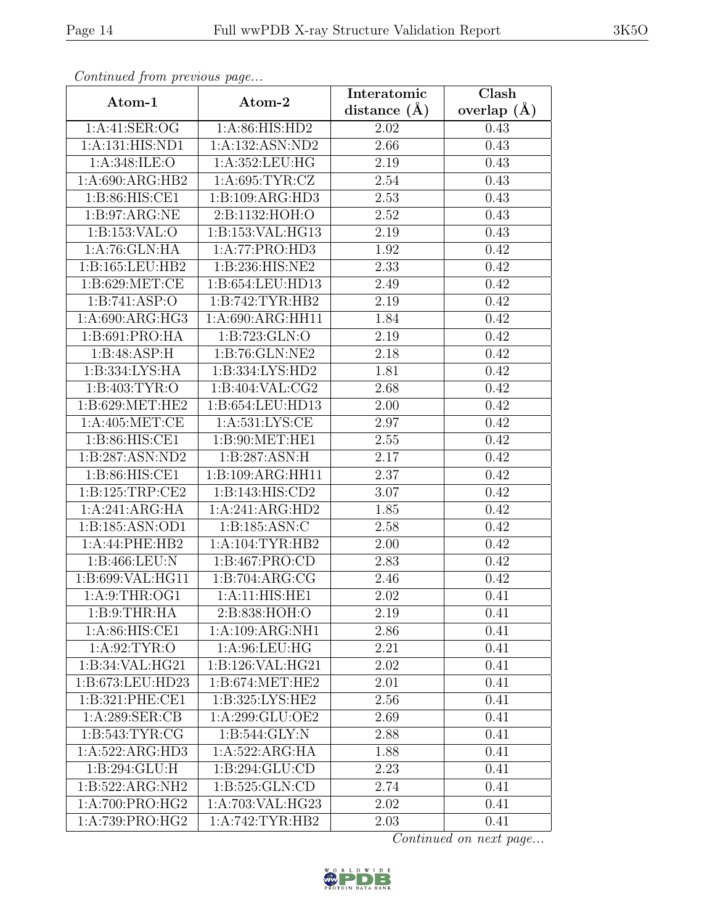| Continuati jibin protibus puga |                     | Interatomic       | Clash           |  |
|--------------------------------|---------------------|-------------------|-----------------|--|
| Atom-1                         | Atom-2              | distance $(\AA)$  | overlap $(\AA)$ |  |
| 1:A:41:SER:OG                  | 1: A:86: HIS: HD2   | 2.02              | 0.43            |  |
| 1:A:131:HIS:ND1                | 1:A:132:ASN:ND2     | 2.66              | 0.43            |  |
| 1: A:348: ILE: O               | 1: A: 352: LEU: HG  | 2.19              | 0.43            |  |
| 1:A:690:ARG:HB2                | 1: A:695: TYR: CZ   | 2.54              | 0.43            |  |
| 1: B:86: HIS: CE1              | 1:B:109:ARG:HD3     | 2.53              | 0.43            |  |
| 1: B:97: ARG:NE                | 2:B:1132:HOH:O      | 2.52              | 0.43            |  |
| 1:B:153:VAL:O                  | 1:B:153:VAL:HG13    | 2.19              | 0.43            |  |
| 1:A:76:GLN:HA                  | 1:A:77:PRO:HD3      | 1.92              | 0.42            |  |
| 1:B:165:LEU:HB2                | 1:B:236:HIS:NE2     | 2.33              | 0.42            |  |
| 1: B:629: MET:CE               | 1:B:654:LEU:HD13    | 2.49              | 0.42            |  |
| 1:B:741:ASP:O                  | 1:B:742:TYR:HB2     | 2.19              | 0.42            |  |
| 1: A:690:ARG:HG3               | 1:A:690:ARG:HH11    | 1.84              | 0.42            |  |
| 1:B:691:PRO:HA                 | 1:B:723:GLN:O       | 2.19              | 0.42            |  |
| 1:B:48:ASP:H                   | 1:B:76:GLN:NE2      | 2.18              | 0.42            |  |
| 1:B:334:LYS:HA                 | 1:B:334:LYS:HD2     | 1.81              | 0.42            |  |
| 1:B:403:TYR:O                  | 1:B:404:VAL:CG2     | 2.68              | 0.42            |  |
| 1: B:629:MET:HE2               | 1:B:654:LEU:HD13    | 2.00              | 0.42            |  |
| 1: A:405: MET:CE               | 1: A:531: LYS: CE   | 2.97              | 0.42            |  |
| 1:B:86:HIS:CE1                 | 1:B:90:MET:HE1      | 2.55              | 0.42            |  |
| 1:B:287:ASN:ND2                | 1:B:287:ASN:H       | 2.17              | 0.42            |  |
| 1:B:86:HIS:CE1                 | 1:B:109:ARG:HH11    | 2.37              | 0.42            |  |
| 1: B: 125: TRP: CE2            | 1:B:143:HIS:CD2     | 3.07              | 0.42            |  |
| 1:A:241:ARG:HA                 | 1:A:241:ARG:HD2     | 1.85              | 0.42            |  |
| 1:B:185:ASN:OD1                | 1:B:185:ASN:C       | $\overline{2.58}$ | 0.42            |  |
| 1:A:44:PHE:HB2                 | 1: A: 104: TYR: HB2 | 2.00              | 0.42            |  |
| 1:B:466:LEU:N                  | 1:B:467:PRO:CD      | 2.83              | 0.42            |  |
| 1:B:699:VAL:HG11               | 1:B:704:ARG:CG      | 2.46              | 0.42            |  |
| 1: A:9: THEN:OG1               | 1:A:11:HIS:HE1      | 2.02              | 0.41            |  |
| 1: B:9: THEN: HA               | 2:B:838:HOH:O       | 2.19              | 0.41            |  |
| 1:A:86:HIS:CE1                 | 1:A:109:ARG:NH1     | 2.86              | 0.41            |  |
| 1: A:92: TYR:O                 | 1: A:96: LEU: HG    | 2.21              | 0.41            |  |
| 1:B:34:VAL:HG21                | 1:B:126:VAL:HG21    | 2.02              | 0.41            |  |
| 1:B:673:LEU:HD23               | 1: B:674:MET:HE2    | 2.01              | 0.41            |  |
| 1:B:321:PHE:CE1                | 1:B:325:LYS:HE2     | 2.56              | 0.41            |  |
| 1:A:289:SER:CB                 | 1: A:299: GLU:OE2   | 2.69              | 0.41            |  |
| 1: B: 543: TYR: CG             | 1: B:544: GLY:N     | 2.88              | 0.41            |  |
| 1:A:522:ARG:HD3                | 1:A:522:ARG:HA      | 1.88              | 0.41            |  |
| 1:B:294:GLU:H                  | 1:B:294:GLU:CD      | 2.23              | 0.41            |  |
| 1:B:522:ARG:NH2                | 1: B:525: GLN:CD    | 2.74              | 0.41            |  |
| 1:A:700:PRO:HG2                | 1:A:703:VAL:HG23    | 2.02              | 0.41            |  |
| 1:A:739:PRO:HG2                | 1:A:742:TYR:HB2     | 2.03              | 0.41            |  |

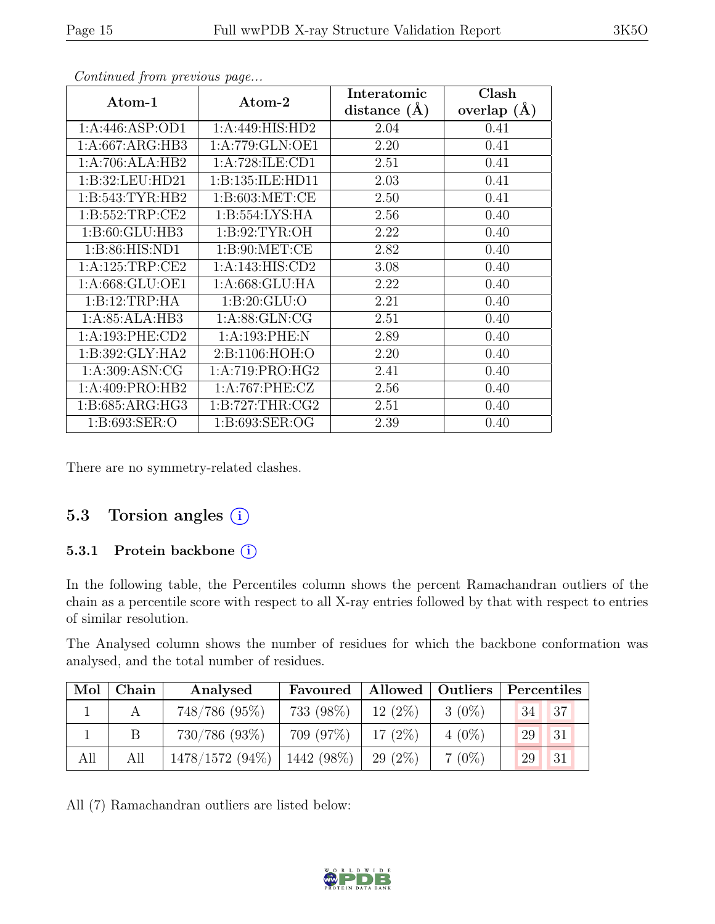| Atom-1              | Atom-2             | Interatomic      | Clash           |
|---------------------|--------------------|------------------|-----------------|
|                     |                    | distance $(\AA)$ | overlap $(\AA)$ |
| 1: A:446: ASP:OD1   | 1:A:449:HIS:HD2    | 2.04             | 0.41            |
| 1:A:667:ARG:HB3     | 1:A:779:GLN:OE1    | 2.20             | 0.41            |
| 1:A:706:ALA:HB2     | 1:A:728:ILE:CD1    | 2.51             | 0.41            |
| 1:B:32:LEU:HD21     | 1:B:135:ILE:HD11   | 2.03             | 0.41            |
| 1: B:543: TYR: HB2  | 1: B:603: MET:CE   | 2.50             | 0.41            |
| 1:B:552:TRP:CE2     | 1: B: 554: LYS: HA | 2.56             | 0.40            |
| 1:B:60:GLU:HB3      | 1: B:92: TYR:OH    | 2.22             | 0.40            |
| 1: B:86: HIS: ND1   | 1: B:90:MET:CE     | 2.82             | 0.40            |
| 1:A:125:TRP:CE2     | 1:A:143:HIS:CD2    | 3.08             | 0.40            |
| 1:A:668:GLU:OE1     | 1: A:668: GLU:HA   | 2.22             | 0.40            |
| 1:B:12:TRP:HA       | 1: B:20: GLU:O     | 2.21             | 0.40            |
| 1:A:85:ALA:HB3      | 1: A:88: GLN: CG   | 2.51             | 0.40            |
| 1:A:193:PHE:CD2     | 1: A: 193: PHE: N  | 2.89             | 0.40            |
| 1:B:392:GLY:HA2     | 2:B:1106:HOH:O     | 2.20             | 0.40            |
| 1: A:309: ASN: CG   | 1: A:719: PRO:HG2  | 2.41             | 0.40            |
| 1:A:409:PRO:HB2     | 1:A:767:PHE:CZ     | 2.56             | 0.40            |
| 1: B: 685: ARG: HG3 | 1: B:727:THR:CG2   | 2.51             | 0.40            |
| 1:B:693:SER:O       | 1:B:693:SER:OG     | 2.39             | 0.40            |

There are no symmetry-related clashes.

#### 5.3 Torsion angles  $(i)$

#### 5.3.1 Protein backbone ①

In the following table, the Percentiles column shows the percent Ramachandran outliers of the chain as a percentile score with respect to all X-ray entries followed by that with respect to entries of similar resolution.

The Analysed column shows the number of residues for which the backbone conformation was analysed, and the total number of residues.

| Mol | Chain | Analysed          | Favoured     |           | Allowed   Outliers   Percentiles |    |             |
|-----|-------|-------------------|--------------|-----------|----------------------------------|----|-------------|
|     |       | 748/786 (95%)     | 733 (98%)    | $12(2\%)$ | $3(0\%)$                         | 34 | 137         |
|     |       | 730/786 (93%)     | 709 (97%)    | $17(2\%)$ | $4(0\%)$                         | 29 | 31          |
| All | All   | $1478/1572(94\%)$ | $1442(98\%)$ | $29(2\%)$ | $7(0\%)$                         | 29 | $\sqrt{31}$ |

All (7) Ramachandran outliers are listed below:

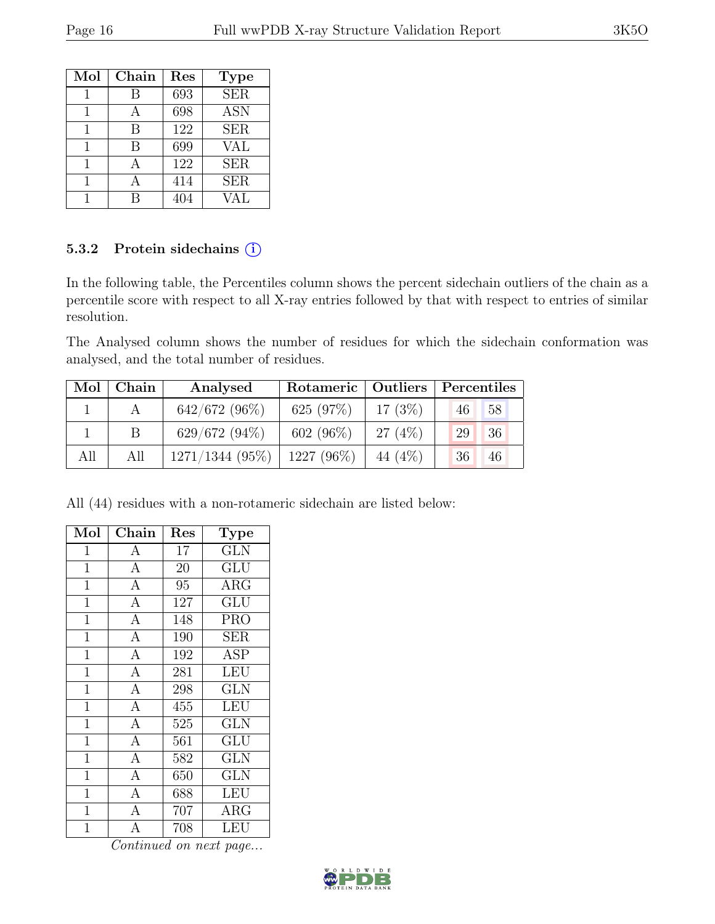| Mol | Chain | Res | <b>Type</b> |
|-----|-------|-----|-------------|
|     | В     | 693 | <b>SER</b>  |
|     |       | 698 | <b>ASN</b>  |
| 1   | В     | 122 | <b>SER</b>  |
|     | В     | 699 | <b>VAL</b>  |
| 1   |       | 122 | <b>SER</b>  |
|     |       | 414 | <b>SER</b>  |
|     |       |     | VAL.        |

#### 5.3.2 Protein sidechains (i)

In the following table, the Percentiles column shows the percent sidechain outliers of the chain as a percentile score with respect to all X-ray entries followed by that with respect to entries of similar resolution.

The Analysed column shows the number of residues for which the sidechain conformation was analysed, and the total number of residues.

| Mol | Chain        | Analysed          | Rotameric   Outliers   Percentiles |          |    |    |
|-----|--------------|-------------------|------------------------------------|----------|----|----|
|     |              | $642/672(96\%)$   | 625 $(97%)$                        | 17(3%)   | 46 | 58 |
|     | <sup>B</sup> | $629/672(94\%)$   | $602(96\%)$                        | 27(4%)   | 29 | 36 |
| All | All          | $1271/1344(95\%)$ | 1227 (96%)                         | 44 (4\%) | 36 | 46 |

All (44) residues with a non-rotameric sidechain are listed below:

| Mol            | Chain              | Res    | Type                    |
|----------------|--------------------|--------|-------------------------|
| 1              | A                  | 17     | $\overline{\text{GLN}}$ |
| $\mathbf{1}$   | $\overline{A}$     | $20\,$ | GLU                     |
| 1              | $\overline{A}$     | 95     | <b>ARG</b>              |
| 1              | $\overline{A}$     | 127    | GLU                     |
| $\mathbf 1$    | $\overline{A}$     | 148    | <b>PRO</b>              |
| $\mathbf{1}$   | $\overline{A}$     | 190    | <b>SER</b>              |
| $\mathbf{1}$   | $\overline{A}$     | 192    | <b>ASP</b>              |
| $\overline{1}$ | $\overline{A}$     | 281    | LEU                     |
| $\mathbf 1$    | $\overline{A}$     | 298    | <b>GLN</b>              |
| $\overline{1}$ | $\overline{A}$     | 455    | <b>LEU</b>              |
| 1              | $\overline{A}$     | 525    | <b>GLN</b>              |
| $\mathbf 1$    | $\overline{A}$     | 561    | GLU                     |
| $\mathbf 1$    | $\overline{A}$     | 582    | <b>GLN</b>              |
| $\mathbf{1}$   | $\overline{A}$     | 650    | <b>GLN</b>              |
| $\overline{1}$ | $\overline{A}$     | 688    | LEU                     |
| $\mathbf{1}$   | $\overline{A}$     | 707    | $\rm{ARG}$              |
| 1              | $\overline{\rm A}$ | 708    | LEU                     |

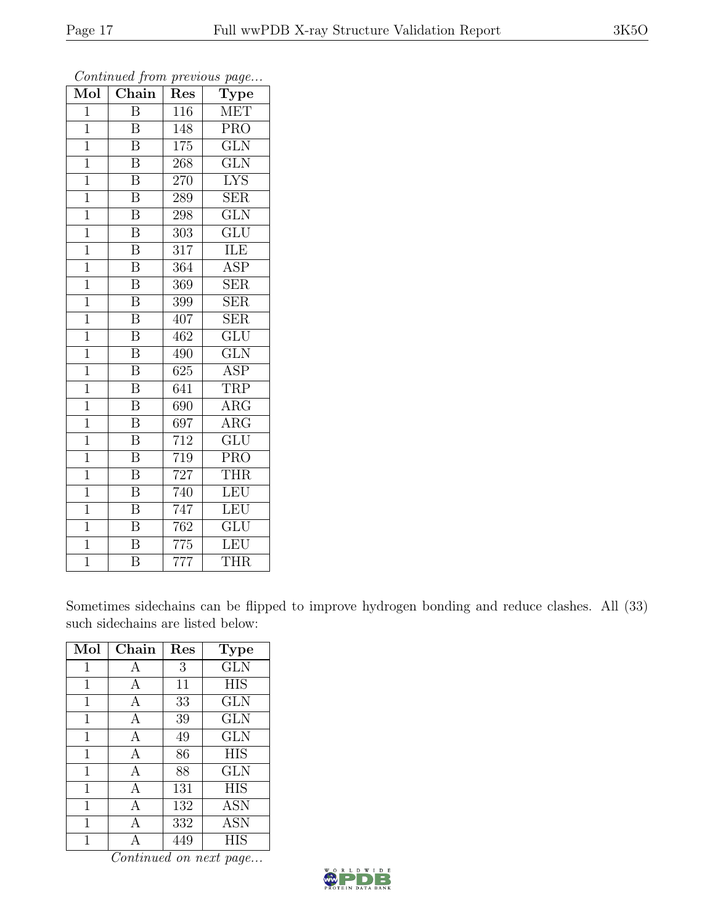| $\overline{\text{Mol}}$ | $\sum$ , $\sum$ , $\sum$ , $\sum$ , $\sum$ , $\sum$ , $\sum$ , $\sum$ , $\sum$ , $\sum$ , $\sum$ , $\sum$ , $\sum$ , $\sum$ , $\sum$<br>Chain | Res              | $F^{\alpha}$ g $\circ \cdot \cdot \cdot$<br>Type |
|-------------------------|-----------------------------------------------------------------------------------------------------------------------------------------------|------------------|--------------------------------------------------|
| $\overline{1}$          | $\overline{B}$                                                                                                                                | 116              | <b>MET</b>                                       |
| $\mathbf{1}$            | $\boldsymbol{B}$                                                                                                                              | 148              | PRO                                              |
| $\overline{1}$          | $\overline{\mathrm{B}}$                                                                                                                       | $\overline{175}$ | GLN                                              |
| $\overline{1}$          | $\overline{B}$                                                                                                                                | 268              | <b>GLN</b>                                       |
| $\overline{1}$          | $\overline{\mathrm{B}}$                                                                                                                       | 270              | $\overline{\text{LYS}}$                          |
| $\mathbf{1}$            | $\overline{\mathrm{B}}$                                                                                                                       | 289              | <b>SER</b>                                       |
| $\overline{1}$          | $\overline{\mathrm{B}}$                                                                                                                       | 298              | $\overline{\text{GLN}}$                          |
| $\overline{1}$          | $\overline{\mathbf{B}}$                                                                                                                       | 303              | GLU                                              |
| $\mathbf 1$             | $\overline{\mathrm{B}}$                                                                                                                       | 317              | ILE                                              |
| $\mathbf{1}$            | $\overline{\mathrm{B}}$                                                                                                                       | 364              | $\overline{\text{ASP}}$                          |
| $\overline{1}$          | B                                                                                                                                             | 369              | <b>SER</b>                                       |
| $\overline{1}$          | $\overline{\mathrm{B}}$                                                                                                                       | 399              | $\overline{\text{SER}}$                          |
| $\mathbf{1}$            | $\overline{\mathrm{B}}$                                                                                                                       | 407              | $\overline{\text{SER}}$                          |
| $\overline{1}$          | $\bar{\text{B}}$                                                                                                                              | 462              | GLU                                              |
| $\overline{1}$          | $\overline{\mathrm{B}}$                                                                                                                       | 490              | $\overline{\text{GLN}}$                          |
| $\overline{1}$          | $\overline{\mathrm{B}}$                                                                                                                       | 625              | <b>ASP</b>                                       |
| $\overline{1}$          | $\overline{\mathrm{B}}$                                                                                                                       | 641              | <b>TRP</b>                                       |
| $\overline{1}$          | $\overline{\mathrm{B}}$                                                                                                                       | 690              | $\rm{ARG}$                                       |
| $\mathbf{1}$            | $\boldsymbol{B}$                                                                                                                              | 697              | $\rm{ARG}$                                       |
| $\overline{1}$          | $\overline{\mathrm{B}}$                                                                                                                       | 712              | $\overline{{\rm GLU}}$                           |
| $\overline{1}$          | $\overline{\mathrm{B}}$                                                                                                                       | 719              | <b>PRO</b>                                       |
| $\overline{1}$          | $\overline{\mathrm{B}}$                                                                                                                       | 727              | <b>THR</b>                                       |
| $\mathbf{1}$            | $\overline{\mathrm{B}}$                                                                                                                       | 740              | LEU                                              |
| $\overline{1}$          | $\overline{\mathrm{B}}$                                                                                                                       | $\overline{747}$ | LEU                                              |
| $\mathbf{1}$            | B                                                                                                                                             | 762              | GLU                                              |
| $\mathbf{1}$            | $\overline{\mathrm{B}}$                                                                                                                       | 775              | LEU                                              |
| $\overline{1}$          | $\overline{\mathrm{B}}$                                                                                                                       | 777              | <b>THR</b>                                       |

Sometimes sidechains can be flipped to improve hydrogen bonding and reduce clashes. All (33) such sidechains are listed below:

| Mol          | $Chain$ | Res | <b>Type</b> |
|--------------|---------|-----|-------------|
| $\mathbf{1}$ | А       | 3   | <b>GLN</b>  |
| 1            | А       | 11  | <b>HIS</b>  |
| 1            | А       | 33  | <b>GLN</b>  |
| 1            | А       | 39  | <b>GLN</b>  |
| 1            | А       | 49  | <b>GLN</b>  |
| $\mathbf 1$  | А       | 86  | <b>HIS</b>  |
| 1            | А       | 88  | <b>GLN</b>  |
| 1            | А       | 131 | <b>HIS</b>  |
| $\mathbf 1$  | А       | 132 | <b>ASN</b>  |
| 1            | А       | 332 | ASN         |
|              |         | 449 | <b>HIS</b>  |

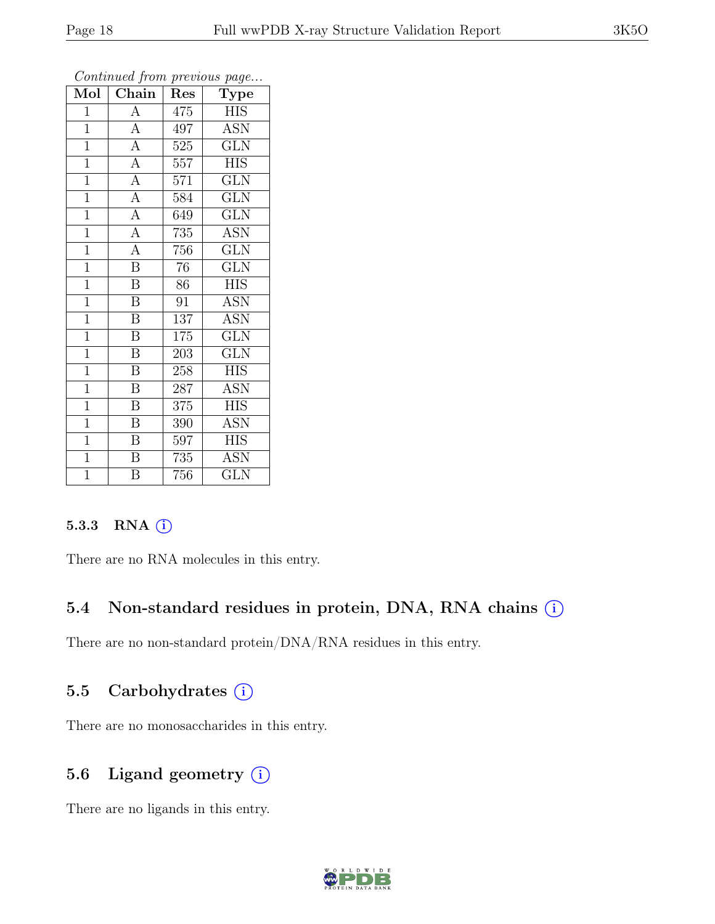| $\overline{\text{Mol}}$ | $\boldsymbol{\sigma}$<br>$\overline{\text{Chain}}$ | Res     | $\mathbf{r}$<br>$\overline{v}$<br>$\mathrm{\bar{Ty}pe}$ |
|-------------------------|----------------------------------------------------|---------|---------------------------------------------------------|
| $\mathbf{1}$            | $\overline{A}$                                     | 475     | <b>HIS</b>                                              |
| $\mathbf{1}$            | $\overline{A}$                                     | 497     | <b>ASN</b>                                              |
| $\overline{1}$          | $\overline{A}$                                     | 525     | $\overline{\text{GLN}}$                                 |
| $\overline{1}$          | $\overline{A}$                                     | $557\,$ | <b>HIS</b>                                              |
| $\overline{1}$          | $\overline{A}$                                     | 571     | $\overline{\text{GLN}}$                                 |
| $\mathbf{1}$            | $\overline{A}$                                     | 584     | <b>GLN</b>                                              |
| $\overline{1}$          | $\overline{A}$                                     | 649     | <b>GLN</b>                                              |
| $\overline{1}$          | $\overline{A}$                                     | 735     | <b>ASN</b>                                              |
| $\overline{1}$          | $\overline{A}$                                     | 756     | <b>GLN</b>                                              |
| $\mathbf{1}$            | $\overline{\mathbf{B}}$                            | 76      | $\overline{\text{GLN}}$                                 |
| $\mathbf{1}$            | $\overline{B}$                                     | 86      | <b>HIS</b>                                              |
| $\overline{1}$          | B                                                  | 91      | ASN                                                     |
| $\overline{1}$          | $\overline{B}$                                     | 137     | <b>ASN</b>                                              |
| $\mathbf{1}$            | $\, {\bf B}$                                       | $175\,$ | $\overline{\text{GLN}}$                                 |
| $\mathbf{1}$            | B                                                  | 203     | $\overline{\text{GLN}}$                                 |
| $\mathbf{1}$            | $\boldsymbol{B}$                                   | 258     | <b>HIS</b>                                              |
| $\overline{1}$          | $\overline{\mathrm{B}}$                            | 287     | <b>ASN</b>                                              |
| $\mathbf{1}$            | Β                                                  | 375     | HIS                                                     |
| $\mathbf{1}$            | B                                                  | 390     | $\overline{A}$ SN                                       |
| $\mathbf{1}$            | B                                                  | 597     | <b>HIS</b>                                              |
| $\overline{1}$          | $\overline{\mathrm{B}}$                            | 735     | <b>ASN</b>                                              |
| $\overline{1}$          | $\overline{\mathrm{B}}$                            | 756     | $\overline{\text{GLN}}$                                 |

#### $5.3.3$  RNA  $(i)$

There are no RNA molecules in this entry.

#### 5.4 Non-standard residues in protein, DNA, RNA chains (i)

There are no non-standard protein/DNA/RNA residues in this entry.

#### 5.5 Carbohydrates (i)

There are no monosaccharides in this entry.

#### 5.6 Ligand geometry  $(i)$

There are no ligands in this entry.

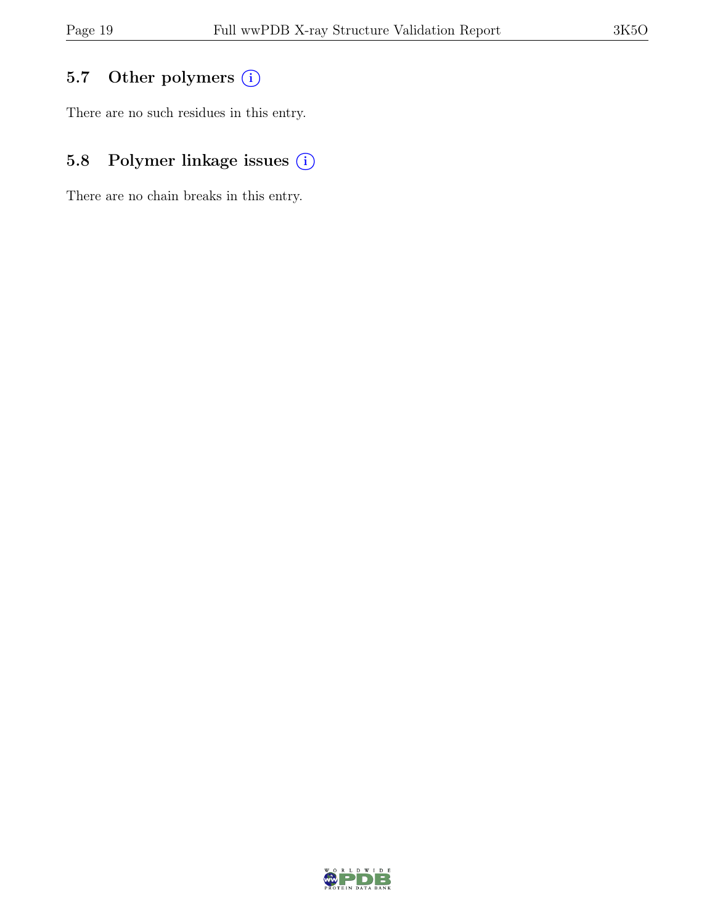## 5.7 Other polymers (i)

There are no such residues in this entry.

## 5.8 Polymer linkage issues (i)

There are no chain breaks in this entry.

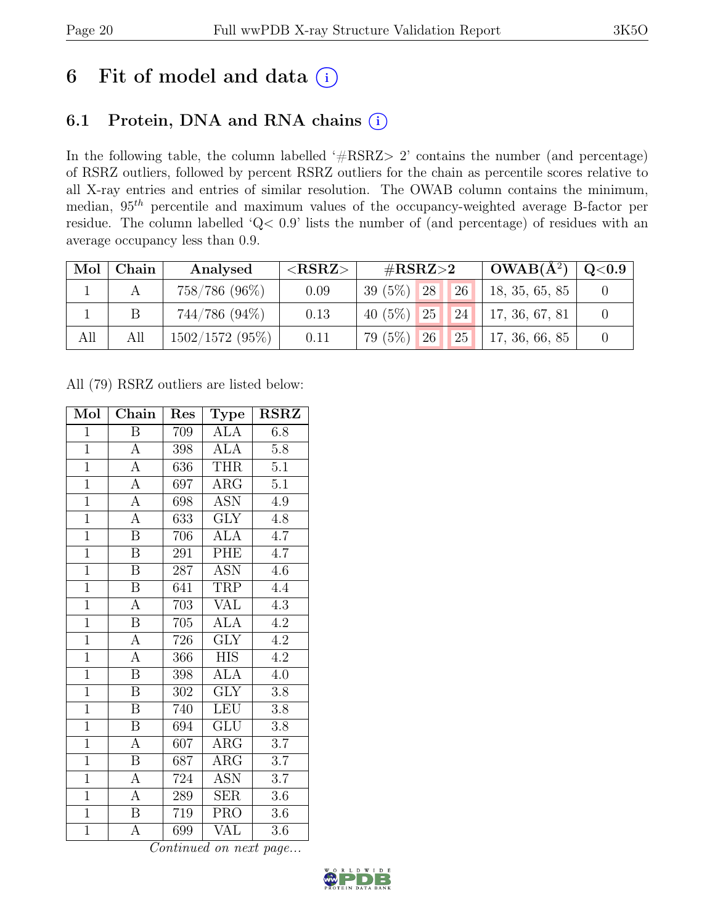# 6 Fit of model and data  $(i)$

## 6.1 Protein, DNA and RNA chains (i)

In the following table, the column labelled ' $\#\text{RSRZ}>2$ ' contains the number (and percentage) of RSRZ outliers, followed by percent RSRZ outliers for the chain as percentile scores relative to all X-ray entries and entries of similar resolution. The OWAB column contains the minimum, median,  $95<sup>th</sup>$  percentile and maximum values of the occupancy-weighted average B-factor per residue. The column labelled 'Q< 0.9' lists the number of (and percentage) of residues with an average occupancy less than 0.9.

| Mol | Chain | Analysed       | ${ <\hspace{-1.5pt} {\rm RSRZ}\hspace{-1.5pt}>}$ | $\#\text{RSRZ}\text{>2}$ |           | $\vert$ OWAB( $A^2$ ) $\vert$ | $\mid$ Q<0.9 $\mid$ |
|-----|-------|----------------|--------------------------------------------------|--------------------------|-----------|-------------------------------|---------------------|
|     |       | 758/786 (96%)  | 0.09                                             | $39(5\%)$ 28             | 26        | 18, 35, 65, 85                |                     |
|     |       | 744/786 (94%)  | 0.13                                             | 40 $(5\%)$ 25            | 24        | 17, 36, 67, 81                |                     |
| All | All   | 1502/1572(95%) | 0.11                                             | $79(5\%)$ 26             | <b>25</b> | 17, 36, 66, 85                |                     |

All (79) RSRZ outliers are listed below:

| Mol            | Chain                   | Res              | <b>Type</b>             | <b>RSRZ</b>      |
|----------------|-------------------------|------------------|-------------------------|------------------|
| $\mathbf{1}$   | B                       | 709              | ALA                     | 6.8              |
| $\mathbf{1}$   | $\boldsymbol{\rm{A}}$   | 398              | <b>ALA</b>              | $5.8\,$          |
| $\overline{1}$ | $\overline{\rm A}$      | 636              | <b>THR</b>              | 5.1              |
| $\overline{1}$ | A                       | 697              | $\rm{ARG}$              | 5.1              |
| $\overline{1}$ | $\overline{\rm A}$      | 698              | $\overline{\text{ASN}}$ | 4.9              |
| $\overline{1}$ | $\overline{\rm A}$      | 633              | $\overline{\text{GLY}}$ | 4.8              |
| $\overline{1}$ | $\boldsymbol{B}$        | 706              | <b>ALA</b>              | 4.7              |
| $\overline{1}$ | $\boldsymbol{B}$        | 291              | PHE                     | $4.\overline{7}$ |
| $\overline{1}$ | B                       | 287              | <b>ASN</b>              | 4.6              |
| $\overline{1}$ | $\overline{\mathbf{B}}$ | 641              | <b>TRP</b>              | 4.4              |
| $\overline{1}$ | $\overline{A}$          | 703              | <b>VAL</b>              | 4.3              |
| $\overline{1}$ | $\overline{\mathrm{B}}$ | 705              | $\overline{ALA}$        | 4.2              |
| $\overline{1}$ | $\overline{A}$          | 726              | $\overline{\text{GLY}}$ | 4.2              |
| $\overline{1}$ | $\overline{A}$          | 366              | <b>HIS</b>              | 4.2              |
| $\overline{1}$ | $\overline{\mathrm{B}}$ | 398              | $\overline{ALA}$        | $\overline{4.0}$ |
| $\mathbf{1}$   | B                       | 302              | <b>GLY</b>              | 3.8              |
| $\overline{1}$ | $\overline{\mathrm{B}}$ | 740              | <b>LEU</b>              | $\overline{3.8}$ |
| $\overline{1}$ | B                       | 694              | <b>GLU</b>              | $3.8\,$          |
| $\overline{1}$ | $\boldsymbol{A}$        | 607              | $\rm{ARG}$              | 3.7              |
| $\overline{1}$ | B                       | 687              | $\rm{ARG}$              | $\overline{3.7}$ |
| $\overline{1}$ | $\boldsymbol{A}$        | $\overline{7}24$ | <b>ASN</b>              | 3.7              |
| $\mathbf{1}$   | $\overline{A}$          | 289              | <b>SER</b>              | 3.6              |
| $\overline{1}$ | $\boldsymbol{B}$        | 719              | <b>PRO</b>              | $3.6\,$          |
| $\mathbf{1}$   | $\overline{\rm A}$      | 699              | VĀL                     | 3.6              |

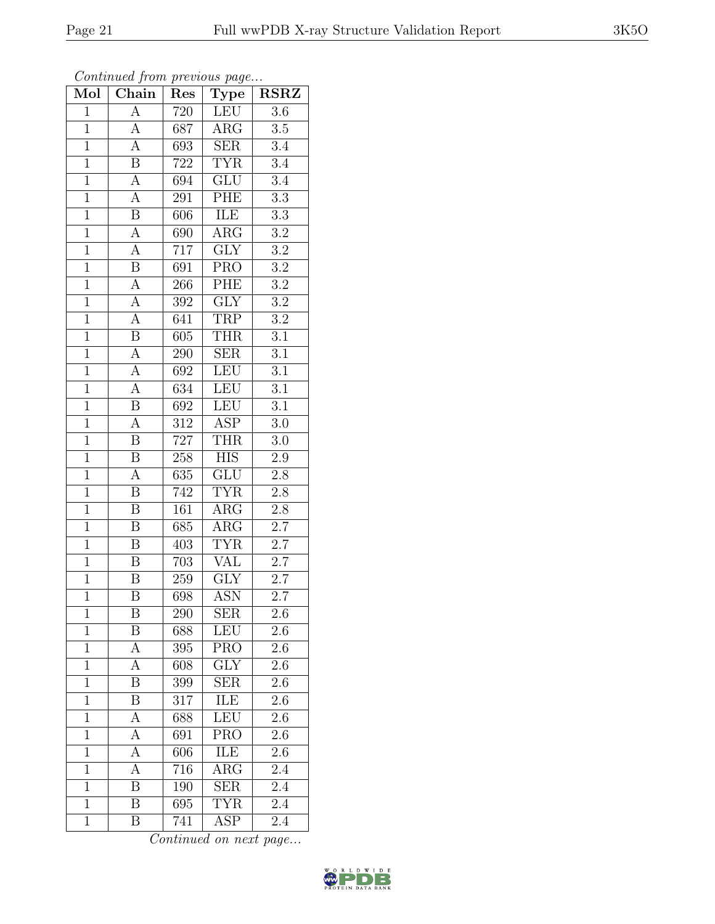| Mol            | Chain                     | Res              | Type                    | <b>RSRZ</b>      |
|----------------|---------------------------|------------------|-------------------------|------------------|
| $\mathbf{1}$   | $\overline{\rm A}$        | 720              | LEU                     | $\overline{3.6}$ |
| $\mathbf{1}$   | А                         | 687              | $\rm{ARG}$              | 3.5              |
| $\overline{1}$ | $\overline{A}$            | $6\overline{9}3$ | $\overline{\text{SER}}$ | $\overline{3.4}$ |
| $\mathbf{1}$   | $\boldsymbol{B}$          | 722              | <b>TYR</b>              | $\overline{3.4}$ |
| $\overline{1}$ | $\overline{A}$            | 694              | GLU                     | $\overline{3.4}$ |
| $\mathbf 1$    | $\overline{\rm A}$        | 291              | PHE                     | $3.3\,$          |
| $\overline{1}$ | $\overline{\mathrm{B}}$   | 606              | ILE                     | $\overline{3.3}$ |
| $\overline{1}$ | $\overline{A}$            | 690              | $\overline{\rm{ARG}}$   | $3.2\,$          |
| $\overline{1}$ | $\overline{A}$            | 717              | GLY                     | $\overline{3.2}$ |
| $\overline{1}$ | $\overline{\mathrm{B}}$   | $\overline{691}$ | <b>PRO</b>              | $\overline{3.2}$ |
| $\overline{1}$ | $\overline{A}$            | 266              | PHE                     | $\overline{3.2}$ |
| $\overline{1}$ | $\overline{A}$            | 392              | $\overline{\text{GLY}}$ | $\overline{3.2}$ |
| $\overline{1}$ | $\overline{A}$            | 641              | <b>TRP</b>              | $\overline{3.2}$ |
| $\overline{1}$ | $\overline{\mathbf{B}}$   | 605              | <b>THR</b>              | $\overline{3.1}$ |
| $\overline{1}$ | $\overline{A}$            | 290              | $\overline{\text{SER}}$ | $\overline{3.1}$ |
| $\overline{1}$ | $\overline{\rm A}$        | 692              | LEU                     | $\overline{3.1}$ |
| $\overline{1}$ | $\overline{A}$            | 634              | LEU                     | $\overline{3.1}$ |
| $\overline{1}$ | $\boldsymbol{\mathrm{B}}$ | 692              | <b>LEU</b>              | $3.\overline{1}$ |
| $\overline{1}$ | A                         | $\overline{312}$ | $\overline{\text{ASP}}$ | $3.0\,$          |
| $\overline{1}$ | $\overline{\mathbf{B}}$   | 727              | <b>THR</b>              | $3.0\,$          |
| $\mathbf{1}$   | $\overline{\mathbf{B}}$   | $258\,$          | <b>HIS</b>              | $2.9\,$          |
| $\overline{1}$ | $\overline{A}$            | 635              | $\overline{\text{GLU}}$ | $\overline{2.8}$ |
| $\mathbf{1}$   | B                         | 742              | <b>TYR</b>              | $2.\overline{8}$ |
| $\overline{1}$ | $\overline{\mathrm{B}}$   | 161              | $\overline{\rm{ARG}}$   | $\overline{2.8}$ |
| $\overline{1}$ | B                         | 685              | $\rm{ARG}$              | $\overline{2.7}$ |
| $\mathbf{1}$   | B                         | 403              | <b>TYR</b>              | 2.7              |
| $\overline{1}$ | $\overline{\mathrm{B}}$   | 703              | <b>VAL</b>              | $\overline{2.7}$ |
| $\overline{1}$ | $\boldsymbol{B}$          | 259              | <b>GLY</b>              | $2.7\,$          |
| $\overline{1}$ | $\overline{\mathrm{B}}$   | 698              | $\overline{\text{ASN}}$ | $\overline{2.7}$ |
| 1              | Β                         | 290              | <b>SER</b>              | $\overline{2.6}$ |
| $\mathbf{1}$   | B                         | 688              | LEU                     | 2.6              |
| $\mathbf{1}$   | A                         | 395              | <b>PRO</b>              | 2.6              |
| $\mathbf{1}$   | А                         | 608              | $\operatorname{GLY}$    | $2.\overline{6}$ |
| $\overline{1}$ | B                         | 399              | $\overline{\text{SER}}$ | 2.6              |
| $\mathbf{1}$   | Β                         | 317              | ILE                     | $2.6\,$          |
| $\mathbf{1}$   | А                         | 688              | <b>LEU</b>              | 2.6              |
| $\mathbf{1}$   | А                         | 691              | <b>PRO</b>              | 2.6              |
| $\overline{1}$ | А                         | 606              | ILE                     | 2.6              |
| $\mathbf{1}$   | А                         | 716              | $\overline{\rm{ARG}}$   | $2.\overline{4}$ |
| $\mathbf{1}$   | B                         | 190              | <b>SER</b>              | 2.4              |
| $\mathbf{1}$   | $\overline{\mathrm{B}}$   | 695              | TYR                     | 2.4              |
| $\mathbf{1}$   | $\bar{\text{B}}$          | 741              | <b>ASP</b>              | 2.4              |